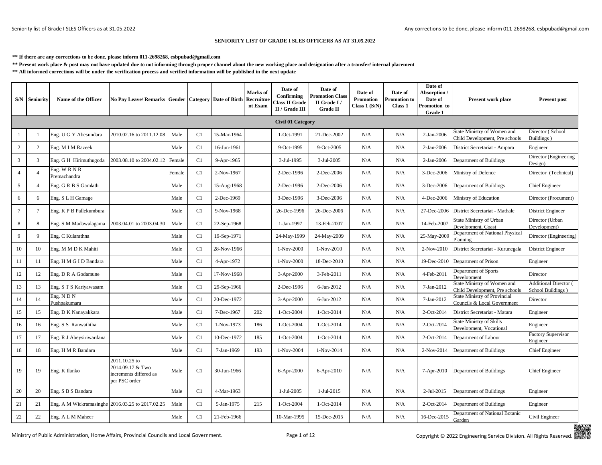## **SENIORITY LIST OF GRADE I SLES OFFICERS AS AT 31.05.2022**

**\*\* If there are any corrections to be done, please inform 011-2698268, esbpubad@gmail.com** 

**\*\* Present work place & post may not have updated due to not informing through proper channel about the new working place and designation after a transfer/ internal placement**

|                | <b>S/N</b> Seniority | Name of the Officer                              | No Pay Leave/ Remarks Gender   Category   Date of Birth                      |        |                |             | Marks of<br>Recruitme<br>nt Exam | Date of<br>Confirming<br><b>Class II Grade</b><br>II / Grade III | Date of<br><b>Promotion Class</b><br>II Grade I/<br><b>Grade II</b> | Date of<br><b>Promotion</b><br>Class $1(S/N)$ | Date of<br><b>Promotion</b> to<br>Class 1 | Date of<br>Absorption /<br>Date of<br>Promotion to<br>Grade 1 | <b>Present work place</b>                                          | <b>Present post</b>                               |
|----------------|----------------------|--------------------------------------------------|------------------------------------------------------------------------------|--------|----------------|-------------|----------------------------------|------------------------------------------------------------------|---------------------------------------------------------------------|-----------------------------------------------|-------------------------------------------|---------------------------------------------------------------|--------------------------------------------------------------------|---------------------------------------------------|
|                |                      |                                                  |                                                                              |        |                |             |                                  | <b>Civil 01 Category</b>                                         |                                                                     |                                               |                                           |                                                               |                                                                    |                                                   |
|                |                      | Eng. U G Y Abesundara                            | 2010.02.16 to 2011.12.08                                                     | Male   | C <sub>1</sub> | 15-Mar-1964 |                                  | 1-Oct-1991                                                       | 21-Dec-2002                                                         | N/A                                           | N/A                                       | 2-Jan-2006                                                    | State Ministry of Women and<br>Child Development, Pre schools      | Director (School<br>Buildings)                    |
| $\overline{c}$ | 2                    | Eng. M I M Razeek                                |                                                                              | Male   | C <sub>1</sub> | 16-Jun-1961 |                                  | 9-Oct-1995                                                       | 9-Oct-2005                                                          | N/A                                           | N/A                                       | 2-Jan-2006                                                    | District Secretariat - Ampara                                      | Engineer                                          |
| 3              | 3                    | Eng. G H Hirimuthugoda                           | 2003.08.10 to 2004.02.12                                                     | Female | C1             | 9-Apr-1965  |                                  | 3-Jul-1995                                                       | 3-Jul-2005                                                          | N/A                                           | N/A                                       | 2-Jan-2006                                                    | Department of Buildings                                            | Director (Engineering<br>Design)                  |
| $\overline{4}$ | $\overline{A}$       | Eng. WRNR<br>Premachandra                        |                                                                              | Female | C <sub>1</sub> | 2-Nov-1967  |                                  | 2-Dec-1996                                                       | 2-Dec-2006                                                          | N/A                                           | N/A                                       | 3-Dec-2006                                                    | Ministry of Defence                                                | Director (Technical)                              |
| 5              | $\overline{4}$       | Eng. G R B S Gamlath                             |                                                                              | Male   | C <sub>1</sub> | 15-Aug-1968 |                                  | 2-Dec-1996                                                       | 2-Dec-2006                                                          | N/A                                           | N/A                                       | 3-Dec-2006                                                    | Department of Buildings                                            | <b>Chief Engineer</b>                             |
| 6              | 6                    | Eng. S L H Gamage                                |                                                                              | Male   | C <sub>1</sub> | 2-Dec-1969  |                                  | 3-Dec-1996                                                       | 3-Dec-2006                                                          | N/A                                           | N/A                                       | 4-Dec-2006                                                    | Ministry of Education                                              | Director (Procument)                              |
| $\tau$         | $\tau$               | Eng. K P B Pallekumbura                          |                                                                              | Male   | C <sub>1</sub> | 9-Nov-1968  |                                  | 26-Dec-1996                                                      | 26-Dec-2006                                                         | N/A                                           | N/A                                       | 27-Dec-2006                                                   | District Secretariat - Mathale                                     | District Engineer                                 |
| 8              | 8                    | Eng. S M Madawalagama                            | 2003.04.01 to 2003.04.30                                                     | Male   | C <sub>1</sub> | 22-Sep-1968 |                                  | 1-Jan-1997                                                       | 13-Feb-2007                                                         | N/A                                           | N/A                                       | 14-Feb-2007                                                   | State Ministry of Urban<br>Development, Coast                      | Director (Urban<br>Development)                   |
| 9              | 9                    | Eng. C Kularathna                                |                                                                              | Male   | C <sub>1</sub> | 19-Sep-1971 |                                  | 24-May-1999                                                      | 24-May-2009                                                         | N/A                                           | N/A                                       | 25-May-2009                                                   | Department of National Physical<br>Planning                        | Director (Engineering)                            |
| 10             | 10                   | Eng. M M D K Mahiti                              |                                                                              | Male   | C <sub>1</sub> | 28-Nov-1966 |                                  | 1-Nov-2000                                                       | 1-Nov-2010                                                          | N/A                                           | N/A                                       | 2-Nov-2010                                                    | District Secretariat - Kurunegala                                  | District Engineer                                 |
| 11             | 11                   | Eng. H M G I D Bandara                           |                                                                              | Male   | C <sub>1</sub> | 4-Apr-1972  |                                  | 1-Nov-2000                                                       | 18-Dec-2010                                                         | N/A                                           | N/A                                       | 19-Dec-2010                                                   | Department of Prison                                               | Engineer                                          |
| 12             | 12                   | Eng. D R A Godamune                              |                                                                              | Male   | C <sub>1</sub> | 17-Nov-1968 |                                  | 3-Apr-2000                                                       | 3-Feb-2011                                                          | N/A                                           | N/A                                       | 4-Feb-2011                                                    | Department of Sports<br>Development                                | Director                                          |
| 13             | 13                   | Eng. S T S Kariyawasam                           |                                                                              | Male   | C <sub>1</sub> | 29-Sep-1966 |                                  | 2-Dec-1996                                                       | 6-Jan-2012                                                          | N/A                                           | N/A                                       | 7-Jan-2012                                                    | State Ministry of Women and<br>Child Development. Pre schools      | <b>Additional Director (</b><br>School Buildings) |
| 14             | 14                   | Eng. N D N<br>Pushpakumara                       |                                                                              | Male   | C1             | 20-Dec-1972 |                                  | 3-Apr-2000                                                       | 6-Jan-2012                                                          | N/A                                           | N/A                                       | 7-Jan-2012                                                    | <b>State Ministry of Provincial</b><br>Councils & Local Government | Director                                          |
| 15             | 15                   | Eng. D K Nanayakkara                             |                                                                              | Male   | C1             | 7-Dec-1967  | 202                              | 1-Oct-2004                                                       | 1-Oct-2014                                                          | N/A                                           | N/A                                       | 2-Oct-2014                                                    | District Secretariat - Matara                                      | Engineer                                          |
| 16             | 16                   | Eng. S S Ranwaththa                              |                                                                              | Male   | C <sub>1</sub> | 1-Nov-1973  | 186                              | 1-Oct-2004                                                       | 1-Oct-2014                                                          | N/A                                           | N/A                                       | 2-Oct-2014                                                    | <b>State Ministry of Skills</b><br>Development, Vocational         | Engineer                                          |
| 17             | 17                   | Eng. R J Abeysiriwardana                         |                                                                              | Male   | C <sub>1</sub> | 10-Dec-1972 | 185                              | 1-Oct-2004                                                       | 1-Oct-2014                                                          | N/A                                           | N/A                                       | 2-Oct-2014                                                    | Department of Labour                                               | <b>Factory Supervisor</b><br>Engineer             |
| 18             | 18                   | Eng. H M R Bandara                               |                                                                              | Male   | C <sub>1</sub> | 7-Jan-1969  | 193                              | 1-Nov-2004                                                       | 1-Nov-2014                                                          | N/A                                           | N/A                                       | 2-Nov-2014                                                    | Department of Buildings                                            | <b>Chief Engineer</b>                             |
| 19             | 19                   | Eng. K Ilanko                                    | 2011.10.25 to<br>2014.09.17 & Two<br>increments differed as<br>per PSC order | Male   | C <sub>1</sub> | 30-Jun-1966 |                                  | 6-Apr-2000                                                       | 6-Apr-2010                                                          | N/A                                           | N/A                                       | $7 - Apr - 2010$                                              | Department of Buildings                                            | <b>Chief Engineer</b>                             |
| 20             | 20                   | Eng. S B S Bandara                               |                                                                              | Male   | C <sub>1</sub> | 4-Mar-1963  |                                  | 1-Jul-2005                                                       | 1-Jul-2015                                                          | N/A                                           | N/A                                       | 2-Jul-2015                                                    | Department of Buildings                                            | Engineer                                          |
| 21             | 21                   | Eng. A M Wickramasinghe 2016.03.25 to 2017.02.25 |                                                                              | Male   | C <sub>1</sub> | 5-Jan-1975  | 215                              | 1-Oct-2004                                                       | 1-Oct-2014                                                          | N/A                                           | N/A                                       | 2-Oct-2014                                                    | Department of Buildings                                            | Engineer                                          |
| 22             | 22                   | Eng. A L M Maheer                                |                                                                              | Male   | C1             | 21-Feb-1966 |                                  | 10-Mar-1995                                                      | 15-Dec-2015                                                         | N/A                                           | N/A                                       | 16-Dec-2015                                                   | Department of National Botanic<br>Garden                           | Civil Engineer                                    |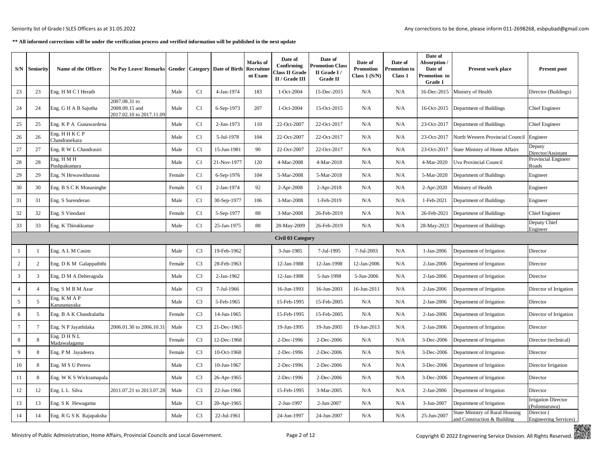| S/N            | <b>Seniority</b> | Name of the Officer          | No Pay Leave/ Remarks Gender   Category   Date of Birth     |        |                |             | Marks of<br>Recruitme<br>nt Exam | Date of<br>Confirming<br>Class II Grade<br>II / Grade III | Date of<br><b>Promotion Class</b><br>II Grade I<br><b>Grade II</b> | Date of<br><b>Promotion</b><br>Class $1(S/N)$ | Date of<br>romotion to<br>Class 1 | Date of<br>Absorption /<br>Date of<br>Promotion to<br>Grade 1 | <b>Present work place</b>                                             | <b>Present post</b>                         |
|----------------|------------------|------------------------------|-------------------------------------------------------------|--------|----------------|-------------|----------------------------------|-----------------------------------------------------------|--------------------------------------------------------------------|-----------------------------------------------|-----------------------------------|---------------------------------------------------------------|-----------------------------------------------------------------------|---------------------------------------------|
| 23             | 23               | Eng. H M C I Herath          |                                                             | Male   | C <sub>1</sub> | 4-Jan-1974  | 183                              | 1-Oct-2004                                                | 15-Dec-2015                                                        | N/A                                           | N/A                               | 16-Dec-2015                                                   | Ministry of Health                                                    | Director (Buildings)                        |
| 24             | 24               | Eng. G H A B Sajotha         | 2007.08.31 to<br>2008.09.15 and<br>2017.02.10 to 2017.11.09 | Male   | C <sub>1</sub> | 6-Sep-1973  | 207                              | 1-Oct-2004                                                | 15-Oct-2015                                                        | N/A                                           | N/A                               | 16-Oct-2015                                                   | Department of Buildings                                               | <b>Chief Engineer</b>                       |
| 25             | 25               | Eng. K P A Gunawardena       |                                                             | Male   | C <sub>1</sub> | 2-Jun-1973  | 110                              | 22-Oct-2007                                               | 22-Oct-2017                                                        | N/A                                           | N/A                               | 23-Oct-2017                                                   | Department of Buildings                                               | <b>Chief Engineer</b>                       |
| 26             | 26               | Eng. HHKCP<br>Chandrasekara  |                                                             | Male   | C <sub>1</sub> | 5-Jul-1978  | 104                              | 22-Oct-2007                                               | 22-Oct-2017                                                        | N/A                                           | N/A                               | 23-Oct-2017                                                   | North Western Provincial Council                                      | Engineer                                    |
| $27\,$         | 27               | Eng. R W L Chandrasiri       |                                                             | Male   | C1             | 15-Jun-1981 | 90                               | 22-Oct-2007                                               | 22-Oct-2017                                                        | N/A                                           | N/A                               | 23-Oct-2017                                                   | State Ministry of Home Affairs                                        | Deputy<br>Director/Assistant                |
| 28             | 28               | Eng. H M H<br>Pushpakumara   |                                                             | Male   | C <sub>1</sub> | 21-Nov-1977 | 120                              | 4-Mar-2008                                                | 4-Mar-2018                                                         | N/A                                           | N/A                               | 4-Mar-2020                                                    | Uva Provincial Council                                                | Provincial Engineer<br>Roads                |
| 29             | 29               | Eng. N Hewawitharana         |                                                             | Female | C1             | 6-Sep-1976  | 104                              | 5-Mar-2008                                                | 5-Mar-2018                                                         | N/A                                           | N/A                               | 5-Mar-2020                                                    | Department of Buildings                                               | Engineer                                    |
| 30             | 30               | Eng. B S C K Munasinghe      |                                                             | Female | C1             | 2-Jan-1974  | 92                               | 2-Apr-2008                                                | 2-Apr-2018                                                         | N/A                                           | N/A                               | 2-Apr-2020                                                    | Ministry of Health                                                    | Engineer                                    |
| 31             | 31               | Eng. S Surenderan            |                                                             | Male   | C1             | 30-Sep-1977 | 106                              | 3-Mar-2008                                                | 1-Feb-2019                                                         | N/A                                           | N/A                               | 1-Feb-2021                                                    | Department of Buildings                                               | Engineer                                    |
| 32             | 32               | Eng. S Vinodani              |                                                             | Female | C <sub>1</sub> | 5-Sep-1977  | 88                               | 3-Mar-2008                                                | 26-Feb-2019                                                        | N/A                                           | N/A                               | 26-Feb-2021                                                   | Department of Buildings                                               | <b>Chief Engineer</b>                       |
| 33             | 33               | Eng. K Thirukkumar           |                                                             | Male   | C1             | 25-Jan-1975 | 88                               | 28-May-2009                                               | 26-Feb-2019                                                        | N/A                                           | N/A                               | 28-May-2021                                                   | Department of Buildings                                               | Deputy Chief<br>Engineer                    |
|                |                  |                              |                                                             |        |                |             |                                  | <b>Civil 03 Category</b>                                  |                                                                    |                                               |                                   |                                                               |                                                                       |                                             |
|                | -1               | Eng. A L M Casim             |                                                             | Male   | C <sub>3</sub> | 19-Feb-1962 |                                  | 3-Jun-1985                                                | 7-Jul-1995                                                         | 7-Jul-2003                                    | N/A                               | 1-Jan-2006                                                    | Department of Irrigation                                              | Director                                    |
| $\overline{2}$ | 2                | Eng. D K M Galappaththi      |                                                             | Female | C <sub>3</sub> | 28-Feb-1963 |                                  | 12-Jan-1988                                               | 12-Jan-1998                                                        | 12-Jan-2006                                   | N/A                               | 2-Jan-2006                                                    | Department of Irrigation                                              | Director                                    |
| 3              | $\mathbf{3}$     | Eng. D M A Deheragoda        |                                                             | Male   | C <sub>3</sub> | 2-Jan-1962  |                                  | 12-Jan-1988                                               | 5-Jun-1998                                                         | 5-Jun-2006                                    | N/A                               | 2-Jan-2006                                                    | Department of Irrigation                                              | Director                                    |
| $\overline{4}$ | $\overline{4}$   | Eng. S M B M Azar            |                                                             | Male   | C <sub>3</sub> | 7-Jul-1966  |                                  | 16-Jun-1993                                               | 16-Jun-2003                                                        | 16-Jun-2011                                   | N/A                               | 2-Jan-2006                                                    | Department of Irrigation                                              | Director of Irrigation                      |
| 5              | 5                | Eng. K M A P<br>Karunanayaka |                                                             | Male   | C <sub>3</sub> | 5-Feb-1965  |                                  | 15-Feb-1995                                               | 15-Feb-2005                                                        | N/A                                           | N/A                               | 2-Jan-2006                                                    | Department of Irrigation                                              | Director                                    |
| 6              | 5                | Eng. B A K Chandralatha      |                                                             | Female | C <sub>3</sub> | 14-Jun-1965 |                                  | 15-Feb-1995                                               | 15-Feb-2005                                                        | N/A                                           | N/A                               | 2-Jan-2006                                                    | Department of Irrigation                                              | Director of Irrigation                      |
| $\tau$         | $7\phantom{.0}$  | Eng. N P Jayathilaka         | 2006.01.30 to 2006.10.31                                    | Male   | C <sub>3</sub> | 21-Dec-1965 |                                  | 19-Jun-1995                                               | 19-Jun-2005                                                        | 19-Jun-2013                                   | N/A                               | 2-Jan-2006                                                    | Department of Irrigation                                              | Director                                    |
| 8              | 8                | Eng. DHNL<br>Madawalagama    |                                                             | Female | C <sub>3</sub> | 12-Dec-1968 |                                  | 2-Dec-1996                                                | 2-Dec-2006                                                         | N/A                                           | N/A                               | 3-Dec-2006                                                    | Department of Irrigation                                              | Director (technical)                        |
| 9              | 8                | Eng. P M Jayadeera           |                                                             | Female | C <sub>3</sub> | 10-Oct-1968 |                                  | 2-Dec-1996                                                | 2-Dec-2006                                                         | N/A                                           | N/A                               | 3-Dec-2006                                                    | Department of Irrigation                                              | Director                                    |
| 10             | 8                | Eng. M S U Perera            |                                                             | Male   | C <sub>3</sub> | 10-Jun-1967 |                                  | 2-Dec-1996                                                | 2-Dec-2006                                                         | N/A                                           | N/A                               | 3-Dec-2006                                                    | Department of Irrigation                                              | Director Irrigation                         |
| 11             | 8                | Eng. W K S Wickramapala      |                                                             | Male   | C <sub>3</sub> | 26-Apr-1965 |                                  | 2-Dec-1996                                                | 2-Dec-2006                                                         | N/A                                           | N/A                               | 3-Dec-2006                                                    | Department of Irrigation                                              | Director                                    |
| 12             | 12               | Eng. L L Silva               | 2011.07.21 to 2013.07.28                                    | Male   | C <sub>3</sub> | 22-Jun-1966 |                                  | 15-Feb-1995                                               | 3-Mar-2005                                                         | N/A                                           | N/A                               | 2-Jan-2006                                                    | Department of Irrigation                                              | Director                                    |
| 13             | 13               | Eng. S K Hewagama            |                                                             | Male   | C <sub>3</sub> | 20-Apr-1965 |                                  | 2-Jun-1997                                                | 2-Jun-2007                                                         | N/A                                           | N/A                               | 3-Jun-2007                                                    | Department of Irrigation                                              | <b>Irrigation Director</b><br>(Polonnaruwa) |
| 14             | 14               | Eng. R G S K Rajapaksha      |                                                             | Male   | C <sub>3</sub> | 22-Jul-1961 |                                  | 24-Jun-1997                                               | 24-Jun-2007                                                        | N/A                                           | N/A                               | 25-Jun-2007                                                   | <b>State Ministry of Rural Housing</b><br>and Construction & Building | Director (<br><b>Engineering Services</b> ) |

Ministry of Public Administration, Home Affairs, Provincial Councils and Local Government. Page 2 of 12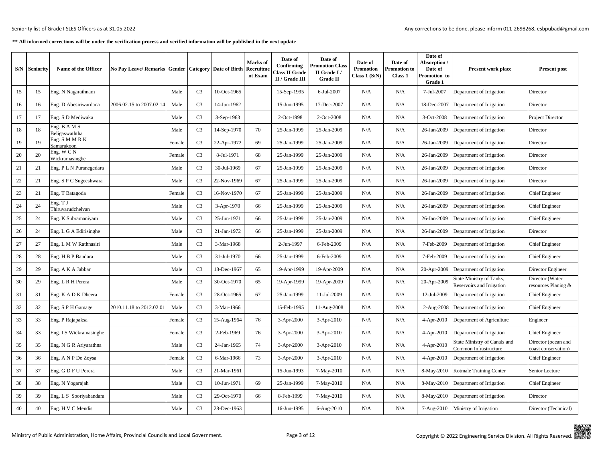| S/N | Seniority | Name of the Officer                         | No Pay Leave/ Remarks Gender   Category   Date of Birth |        |                |             | Marks of<br>Recruitme<br>nt Exam | Date of<br>Confirming<br><b>Class II Grade</b><br>II / Grade III | Date of<br><b>Promotion Class</b><br>II Grade I/<br><b>Grade II</b> | Date of<br>Promotion<br>Class $1(S/N)$ | Date of<br>Promotion to<br>Class 1 | Date of<br>Absorption /<br>Date of<br>Promotion to<br>Grade 1 | <b>Present work place</b>                             | <b>Present post</b>                        |
|-----|-----------|---------------------------------------------|---------------------------------------------------------|--------|----------------|-------------|----------------------------------|------------------------------------------------------------------|---------------------------------------------------------------------|----------------------------------------|------------------------------------|---------------------------------------------------------------|-------------------------------------------------------|--------------------------------------------|
| 15  | 15        | Eng. N Nagarathnam                          |                                                         | Male   | C <sub>3</sub> | 10-Oct-1965 |                                  | 15-Sep-1995                                                      | 6-Jul-2007                                                          | N/A                                    | N/A                                | 7-Jul-2007                                                    | Department of Irrigation                              | Director                                   |
| 16  | 16        | Eng. D Abesiriwardana                       | 2006.02.15 to 2007.02.14                                | Male   | C <sub>3</sub> | 14-Jun-1962 |                                  | 15-Jun-1995                                                      | 17-Dec-2007                                                         | N/A                                    | N/A                                | 18-Dec-2007                                                   | Department of Irrigation                              | Director                                   |
| 17  | 17        | Eng. S D Mediwaka                           |                                                         | Male   | C <sub>3</sub> | 3-Sep-1963  |                                  | 2-Oct-1998                                                       | 2-Oct-2008                                                          | N/A                                    | N/A                                | 3-Oct-2008                                                    | Department of Irrigation                              | Project Director                           |
| 18  | 18        | Eng. B $A \overline{M} S$<br>Beligaswaththa |                                                         | Male   | C <sub>3</sub> | 14-Sep-1970 | 70                               | 25-Jan-1999                                                      | 25-Jan-2009                                                         | N/A                                    | N/A                                | 26-Jan-2009                                                   | Department of Irrigation                              | Director                                   |
| 19  | 19        | Eng. S M M R K<br>Samarakoon                |                                                         | Female | C <sub>3</sub> | 22-Apr-1972 | 69                               | 25-Jan-1999                                                      | 25-Jan-2009                                                         | N/A                                    | N/A                                | 26-Jan-2009                                                   | Department of Irrigation                              | Director                                   |
| 20  | 20        | Eng. W C N<br>Wickramasinghe                |                                                         | Female | C <sub>3</sub> | 8-Jul-1971  | 68                               | 25-Jan-1999                                                      | 25-Jan-2009                                                         | N/A                                    | N/A                                | 26-Jan-2009                                                   | Department of Irrigation                              | Director                                   |
| 21  | 21        | Eng. P L N Puranegedara                     |                                                         | Male   | C <sub>3</sub> | 30-Jul-1969 | 67                               | 25-Jan-1999                                                      | 25-Jan-2009                                                         | N/A                                    | N/A                                | 26-Jan-2009                                                   | Department of Irrigation                              | Director                                   |
| 22  | 21        | Eng. S P C Sugeeshwara                      |                                                         | Male   | C <sub>3</sub> | 22-Nov-1969 | 67                               | 25-Jan-1999                                                      | 25-Jan-2009                                                         | N/A                                    | N/A                                | 26-Jan-2009                                                   | Department of Irrigation                              | Director                                   |
| 23  | 21        | Eng. T Batagoda                             |                                                         | Female | C <sub>3</sub> | 16-Nov-1970 | 67                               | 25-Jan-1999                                                      | 25-Jan-2009                                                         | N/A                                    | N/A                                | 26-Jan-2009                                                   | Department of Irrigation                              | Chief Engineer                             |
| 24  | 24        | Eng. T J<br>Thiruvarudchelvan               |                                                         | Male   | C <sub>3</sub> | 3-Apr-1970  | 66                               | 25-Jan-1999                                                      | 25-Jan-2009                                                         | N/A                                    | N/A                                | 26-Jan-2009                                                   | Department of Irrigation                              | <b>Chief Engineer</b>                      |
| 25  | 24        | Eng. K Subramaniyam                         |                                                         | Male   | C <sub>3</sub> | 25-Jun-1971 | 66                               | 25-Jan-1999                                                      | 25-Jan-2009                                                         | N/A                                    | N/A                                | 26-Jan-2009                                                   | Department of Irrigation                              | Chief Engineer                             |
| 26  | 24        | Eng. L G A Edirisinghe                      |                                                         | Male   | C <sub>3</sub> | 21-Jan-1972 | 66                               | 25-Jan-1999                                                      | 25-Jan-2009                                                         | N/A                                    | N/A                                | 26-Jan-2009                                                   | Department of Irrigation                              | Director                                   |
| 27  | 27        | Eng. L M W Rathnasiri                       |                                                         | Male   | C <sub>3</sub> | 3-Mar-1968  |                                  | 2-Jun-1997                                                       | 6-Feb-2009                                                          | N/A                                    | N/A                                | 7-Feb-2009                                                    | Department of Irrigation                              | Chief Engineer                             |
| 28  | 28        | Eng. H B P Bandara                          |                                                         | Male   | C <sub>3</sub> | 31-Jul-1970 | 66                               | 25-Jan-1999                                                      | 6-Feb-2009                                                          | N/A                                    | N/A                                | 7-Feb-2009                                                    | Department of Irrigation                              | <b>Chief Engineer</b>                      |
| 29  | 29        | Eng. A K A Jabbar                           |                                                         | Male   | C <sub>3</sub> | 18-Dec-1967 | 65                               | 19-Apr-1999                                                      | 19-Apr-2009                                                         | N/A                                    | N/A                                | 20-Apr-2009                                                   | Department of Irrigation                              | Director Engineer                          |
| 30  | 29        | Eng. L R H Perera                           |                                                         | Male   | C <sub>3</sub> | 30-Oct-1970 | 65                               | 19-Apr-1999                                                      | 19-Apr-2009                                                         | N/A                                    | N/A                                | 20-Apr-2009                                                   | State Ministry of Tanks,<br>Reservoirs and Irrigation | Director (Water<br>esources Planing &      |
| 31  | 31        | Eng. K A D K Dheera                         |                                                         | Female | C <sub>3</sub> | 28-Oct-1965 | 67                               | 25-Jan-1999                                                      | 11-Jul-2009                                                         | N/A                                    | N/A                                | 12-Jul-2009                                                   | Department of Irrigation                              | Chief Engineer                             |
| 32  | 32        | Eng. S P H Gamage                           | 2010.11.18 to 2012.02.01                                | Male   | C <sub>3</sub> | 3-Mar-1966  |                                  | 15-Feb-1995                                                      | 11-Aug-2008                                                         | N/A                                    | N/A                                | 12-Aug-2008                                                   | Department of Irrigation                              | Chief Engineer                             |
| 33  | 33        | Eng. P Rajapaksa                            |                                                         | Female | C <sub>3</sub> | 15-Aug-1964 | 76                               | 3-Apr-2000                                                       | 3-Apr-2010                                                          | N/A                                    | N/A                                | 4-Apr-2010                                                    | Department of Agriculture                             | Engineer                                   |
| 34  | 33        | Eng. I S Wickramasinghe                     |                                                         | Female | C <sub>3</sub> | 2-Feb-1969  | 76                               | 3-Apr-2000                                                       | $3-Apr-2010$                                                        | N/A                                    | N/A                                | 4-Apr-2010                                                    | Department of Irrigation                              | Chief Engineer                             |
| 35  | 35        | Eng. N G R Ariyarathna                      |                                                         | Male   | C <sub>3</sub> | 24-Jan-1965 | 74                               | 3-Apr-2000                                                       | 3-Apr-2010                                                          | N/A                                    | N/A                                | 4-Apr-2010                                                    | State Ministry of Canals and<br>Common Infrastructure | Director (ocean and<br>coast conservation) |
| 36  | 36        | Eng. A N P De Zoysa                         |                                                         | Female | C <sub>3</sub> | 6-Mar-1966  | 73                               | 3-Apr-2000                                                       | $3-Apr-2010$                                                        | N/A                                    | N/A                                | 4-Apr-2010                                                    | Department of Irrigation                              | Chief Engineer                             |
| 37  | 37        | Eng. G D F U Perera                         |                                                         | Male   | C <sub>3</sub> | 21-Mar-1961 |                                  | 15-Jun-1993                                                      | 7-May-2010                                                          | N/A                                    | N/A                                | 8-May-2010                                                    | Kotmale Training Center                               | Senior Lecture                             |
| 38  | 38        | Eng. N Yogarajah                            |                                                         | Male   | C <sub>3</sub> | 10-Jun-1971 | 69                               | 25-Jan-1999                                                      | 7-May-2010                                                          | N/A                                    | N/A                                | 8-May-2010                                                    | Department of Irrigation                              | <b>Chief Engineer</b>                      |
| 39  | 39        | Eng. L S Sooriyabandara                     |                                                         | Male   | C <sub>3</sub> | 29-Oct-1970 | 66                               | 8-Feb-1999                                                       | 7-May-2010                                                          | N/A                                    | N/A                                | 8-May-2010                                                    | Department of Irrigation                              | Director                                   |
| 40  | 40        | Eng. H V C Mendis                           |                                                         | Male   | C <sub>3</sub> | 28-Dec-1963 |                                  | 16-Jun-1995                                                      | 6-Aug-2010                                                          | N/A                                    | N/A                                |                                                               | 7-Aug-2010 Ministry of Irrigation                     | Director (Technical)                       |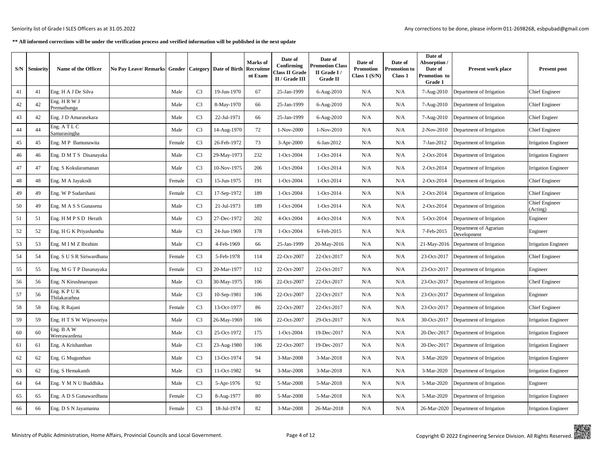|    | <b>S/N</b> Seniority | Name of the Officer               | No Pay Leave/ Remarks Gender   Category   Date of Birth |        |                |             | Marks of<br>Recruitme<br>nt Exam | Date of<br>Confirming<br>Class II Grade<br>II / Grade III | Date of<br><b>Promotion Class</b><br>II Grade I/<br><b>Grade II</b> | Date of<br><b>Promotion</b><br>Class $1(S/N)$ | Date of<br>Promotion to<br>Class 1 | Date of<br>Absorption /<br>Date of<br>Promotion to<br>Grade 1 | <b>Present work place</b>             | <b>Present post</b>              |
|----|----------------------|-----------------------------------|---------------------------------------------------------|--------|----------------|-------------|----------------------------------|-----------------------------------------------------------|---------------------------------------------------------------------|-----------------------------------------------|------------------------------------|---------------------------------------------------------------|---------------------------------------|----------------------------------|
| 41 | 41                   | Eng. H A J De Silva               |                                                         | Male   | C <sub>3</sub> | 19-Jun-1970 | 67                               | 25-Jan-1999                                               | 6-Aug-2010                                                          | N/A                                           | N/A                                | 7-Aug-2010                                                    | Department of Irrigation              | <b>Chief Engineer</b>            |
| 42 | 42                   | Eng. HRWJ<br>Premathunga          |                                                         | Male   | C <sub>3</sub> | 8-May-1970  | 66                               | 25-Jan-1999                                               | 6-Aug-2010                                                          | N/A                                           | N/A                                | 7-Aug-2010                                                    | Department of Irrigation              | Chief Engineer                   |
| 43 | 42                   | Eng. J D Amarasekara              |                                                         | Male   | C <sub>3</sub> | 22-Jul-1971 | 66                               | 25-Jan-1999                                               | 6-Aug-2010                                                          | N/A                                           | N/A                                | 7-Aug-2010                                                    | Department of Irrigation              | <b>Chief Engieer</b>             |
| 44 | 44                   | Eng. A $T$ L C<br>Samarasingha    |                                                         | Male   | C <sub>3</sub> | 14-Aug-1970 | 72                               | 1-Nov-2000                                                | 1-Nov-2010                                                          | N/A                                           | N/A                                | 2-Nov-2010                                                    | Department of Irrigation              | Chief Engineer                   |
| 45 | 45                   | Eng. M P Bamunawita               |                                                         | Female | C <sub>3</sub> | 26-Feb-1972 | 73                               | 3-Apr-2000                                                | 6-Jan-2012                                                          | N/A                                           | N/A                                | 7-Jan-2012                                                    | Department of Irrigation              | Irrigation Engineer              |
| 46 | 46                   | Eng. D M T S Disanayaka           |                                                         | Male   | C <sub>3</sub> | 29-May-1973 | 232                              | 1-Oct-2004                                                | 1-Oct-2014                                                          | N/A                                           | N/A                                | 2-Oct-2014                                                    | Department of Irrigation              | Irrigation Engineer              |
| 47 | 47                   | Eng. S Kokularamanan              |                                                         | Male   | C <sub>3</sub> | 10-Nov-1975 | 206                              | 1-Oct-2004                                                | 1-Oct-2014                                                          | N/A                                           | N/A                                | 2-Oct-2014                                                    | Department of Irrigation              | <b>Irrigation Engineer</b>       |
| 48 | 48                   | Eng. M A Jayakodi                 |                                                         | Female | C <sub>3</sub> | 15-Jun-1975 | 191                              | 1-Oct-2004                                                | 1-Oct-2014                                                          | N/A                                           | N/A                                | 2-Oct-2014                                                    | Department of Irrigation              | Chief Engineer                   |
| 49 | 49                   | Eng. W P Sudarshani               |                                                         | Female | C <sub>3</sub> | 17-Sep-1972 | 189                              | 1-Oct-2004                                                | 1-Oct-2014                                                          | N/A                                           | N/A                                | 2-Oct-2014                                                    | Department of Irrigation              | <b>Chief Engineer</b>            |
| 50 | 49                   | Eng. M A S S Gunasena             |                                                         | Male   | C <sub>3</sub> | 21-Jul-1973 | 189                              | 1-Oct-2004                                                | 1-Oct-2014                                                          | N/A                                           | N/A                                | 2-Oct-2014                                                    | Department of Irrigation              | <b>Chief Engineer</b><br>Acting) |
| 51 | 51                   | Eng. H M P S D Herath             |                                                         | Male   | C <sub>3</sub> | 27-Dec-1972 | 202                              | 4-Oct-2004                                                | 4-Oct-2014                                                          | N/A                                           | N/A                                | 5-Oct-2014                                                    | Department of Irrigation              | Engineer                         |
| 52 | 52                   | Eng. H G K Priyashantha           |                                                         | Male   | C <sub>3</sub> | 24-Jun-1969 | 178                              | 1-Oct-2004                                                | 6-Feb-2015                                                          | N/A                                           | N/A                                | 7-Feb-2015                                                    | Department of Agrarian<br>Development | Engineer                         |
| 53 | 53                   | Eng. M I M Z Ibrahim              |                                                         | Male   | C <sub>3</sub> | 4-Feb-1969  | 66                               | 25-Jan-1999                                               | 20-May-2016                                                         | N/A                                           | N/A                                | 21-May-2016                                                   | Department of Irrigation              | Irrigation Engineer              |
| 54 | 54                   | Eng. S U S R Siriwardhana         |                                                         | Female | C <sub>3</sub> | 5-Feb-1978  | 114                              | 22-Oct-2007                                               | 22-Oct-2017                                                         | N/A                                           | N/A                                | 23-Oct-2017                                                   | Department of Irrigation              | <b>Chief Engineer</b>            |
| 55 | 55                   | Eng. M G T P Dasanayaka           |                                                         | Female | C <sub>3</sub> | 20-Mar-1977 | 112                              | 22-Oct-2007                                               | 22-Oct-2017                                                         | N/A                                           | N/A                                | 23-Oct-2017                                                   | Department of Irrigation              | Engineer                         |
| 56 | 56                   | Eng. N Kirushnarupan              |                                                         | Male   | C <sub>3</sub> | 30-May-1975 | 106                              | 22-Oct-2007                                               | 22-Oct-2017                                                         | N/A                                           | N/A                                | 23-Oct-2017                                                   | Department of Irrigation              | Cheif Engineer                   |
| 57 | 56                   | Eng. KPUK<br><b>Thilakarathna</b> |                                                         | Male   | C <sub>3</sub> | 10-Sep-1981 | 106                              | 22-Oct-2007                                               | 22-Oct-2017                                                         | N/A                                           | N/A                                | 23-Oct-2017                                                   | Department of Irrigation              | Enginner                         |
| 58 | 58                   | Eng. R Rajani                     |                                                         | Female | C <sub>3</sub> | 13-Oct-1977 | 86                               | 22-Oct-2007                                               | 22-Oct-2017                                                         | N/A                                           | N/A                                | 23-Oct-2017                                                   | Department of Irrigation              | Chief Engineer                   |
| 59 | 59                   | Eng. H T S W Wijesooriya          |                                                         | Male   | C <sub>3</sub> | 26-May-1969 | 106                              | 22-Oct-2007                                               | 29-Oct-2017                                                         | N/A                                           | N/A                                | 30-Oct-2017                                                   | Department of Irrigation              | <b>Irrigation Engineer</b>       |
| 60 | 60                   | Eng. B A W<br>Weerawardena        |                                                         | Male   | C <sub>3</sub> | 25-Oct-1972 | 175                              | 1-Oct-2004                                                | 19-Dec-2017                                                         | N/A                                           | N/A                                | 20-Dec-2017                                                   | Department of Irrigation              | <b>Irrigation Engineer</b>       |
| 61 | 61                   | Eng. A Krishanthan                |                                                         | Male   | C <sub>3</sub> | 23-Aug-1980 | 106                              | 22-Oct-2007                                               | 19-Dec-2017                                                         | N/A                                           | N/A                                | 20-Dec-2017                                                   | Department of Irrigation              | Irrigation Engineer              |
| 62 | 62                   | Eng. G Mugunthan                  |                                                         | Male   | C <sub>3</sub> | 13-Oct-1974 | 94                               | 3-Mar-2008                                                | 3-Mar-2018                                                          | N/A                                           | N/A                                | 3-Mar-2020                                                    | Department of Irrigation              | <b>Irrigation Engineer</b>       |
| 63 | 62                   | Eng. S Hemakanth                  |                                                         | Male   | C <sub>3</sub> | 11-Oct-1982 | 94                               | 3-Mar-2008                                                | 3-Mar-2018                                                          | N/A                                           | N/A                                | 3-Mar-2020                                                    | Department of Irrigation              | Irrigation Engineer              |
| 64 | 64                   | Eng. Y M N U Buddhika             |                                                         | Male   | C <sub>3</sub> | 5-Apr-1976  | 92                               | 5-Mar-2008                                                | 5-Mar-2018                                                          | N/A                                           | N/A                                | 5-Mar-2020                                                    | Department of Irrigation              | Engineer                         |
| 65 | 65                   | Eng. A D S Gunawardhana           |                                                         | Female | C <sub>3</sub> | 8-Aug-1977  | 80                               | 5-Mar-2008                                                | 5-Mar-2018                                                          | N/A                                           | N/A                                | 5-Mar-2020                                                    | Department of Irrigation              | <b>Irrigation Engineer</b>       |
| 66 | 66                   | Eng. D S N Jayamanna              |                                                         | Female | C <sub>3</sub> | 18-Jul-1974 | 82                               | 3-Mar-2008                                                | 26-Mar-2018                                                         | N/A                                           | N/A                                |                                                               | 26-Mar-2020 Department of Irrigation  | <b>Irrigation Engineer</b>       |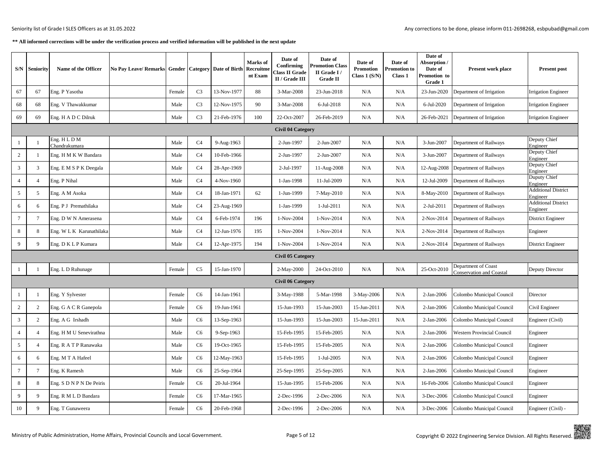|                | <b>S/N</b> Seniority | Name of the Officer        | No Pay Leave/ Remarks Gender   Category   Date of Birth |        |                |             | Marks of<br>Recruitme<br>nt Exam | Date of<br>Confirming<br>Class II Grade<br>II / Grade III | Date of<br><b>Promotion Class</b><br>II Grade I/<br><b>Grade II</b> | Date of<br><b>Promotion</b><br>Class $1(S/N)$ | Date of<br>Promotion to<br>Class 1 | Date of<br>Absorption /<br>Date of<br>Promotion to<br>Grade 1 | <b>Present work place</b>                              | <b>Present post</b>                    |
|----------------|----------------------|----------------------------|---------------------------------------------------------|--------|----------------|-------------|----------------------------------|-----------------------------------------------------------|---------------------------------------------------------------------|-----------------------------------------------|------------------------------------|---------------------------------------------------------------|--------------------------------------------------------|----------------------------------------|
| 67             | 67                   | Eng. P Yasotha             |                                                         | Female | C <sub>3</sub> | 13-Nov-1977 | 88                               | 3-Mar-2008                                                | 23-Jun-2018                                                         | N/A                                           | N/A                                | 23-Jun-2020                                                   | Department of Irrigation                               | <b>Irrigation Engineer</b>             |
| 68             | 68                   | Eng. V Thawakkumar         |                                                         | Male   | C <sub>3</sub> | 12-Nov-1975 | 90                               | 3-Mar-2008                                                | 6-Jul-2018                                                          | N/A                                           | N/A                                | 6-Jul-2020                                                    | Department of Irrigation                               | <b>Irrigation Engineer</b>             |
| 69             | 69                   | Eng. H A D C Dilruk        |                                                         | Male   | C <sub>3</sub> | 21-Feb-1976 | 100                              | 22-Oct-2007                                               | 26-Feb-2019                                                         | N/A                                           | N/A                                | 26-Feb-2021                                                   | Department of Irrigation                               | <b>Irrigation Engineer</b>             |
|                |                      |                            |                                                         |        |                |             |                                  | <b>Civil 04 Category</b>                                  |                                                                     |                                               |                                    |                                                               |                                                        |                                        |
|                |                      | Eng. HLDM<br>Chandrakumara |                                                         | Male   | C <sub>4</sub> | 9-Aug-1963  |                                  | 2-Jun-1997                                                | 2-Jun-2007                                                          | N/A                                           | N/A                                | 3-Jun-2007                                                    | Department of Railways                                 | Deputy Chief<br>Engineer               |
| 2              | $\blacksquare$       | Eng. H M K W Bandara       |                                                         | Male   | C <sub>4</sub> | 10-Feb-1966 |                                  | 2-Jun-1997                                                | 2-Jun-2007                                                          | N/A                                           | N/A                                | 3-Jun-2007                                                    | Department of Railways                                 | Deputy Chief<br>Engineer               |
| 3              | 3                    | Eng. E M S P K Deegala     |                                                         | Male   | C <sub>4</sub> | 28-Apr-1969 |                                  | 2-Jul-1997                                                | 11-Aug-2008                                                         | N/A                                           | N/A                                | 12-Aug-2008                                                   | Department of Railways                                 | Deputy Chief<br>Engineer               |
| $\overline{4}$ | $\overline{4}$       | Eng. P Nihal               |                                                         | Male   | C <sub>4</sub> | 4-Nov-1960  |                                  | 1-Jan-1998                                                | 11-Jul-2009                                                         | N/A                                           | N/A                                | 12-Jul-2009                                                   | Department of Railways                                 | Duputy Chief<br>Engineer               |
| 5              | 5                    | Eng. A M Asoka             |                                                         | Male   | C4             | 18-Jan-1971 | 62                               | 1-Jun-1999                                                | 7-May-2010                                                          | N/A                                           | N/A                                | 8-May-2010                                                    | Department of Railways                                 | <b>Additional District</b><br>Engineer |
| 6              | 6                    | Eng. P J Premathilaka      |                                                         | Male   | C <sub>4</sub> | 23-Aug-1969 |                                  | 1-Jan-1999                                                | 1-Jul-2011                                                          | N/A                                           | N/A                                | 2-Jul-2011                                                    | Department of Railways                                 | <b>Additional District</b><br>Engineer |
| $\tau$         | $\overline{7}$       | Eng. D W N Amerasena       |                                                         | Male   | C4             | 6-Feb-1974  | 196                              | 1-Nov-2004                                                | 1-Nov-2014                                                          | N/A                                           | N/A                                | 2-Nov-2014                                                    | Department of Railways                                 | District Engineer                      |
| 8              | 8                    | Eng. W L K Karunathilaka   |                                                         | Male   | C <sub>4</sub> | 12-Jun-1976 | 195                              | 1-Nov-2004                                                | 1-Nov-2014                                                          | N/A                                           | N/A                                | 2-Nov-2014                                                    | Department of Railways                                 | Engineer                               |
| 9              | 9                    | Eng. D K L P Kumara        |                                                         | Male   | C4             | 12-Apr-1975 | 194                              | 1-Nov-2004                                                | 1-Nov-2014                                                          | N/A                                           | N/A                                | 2-Nov-2014                                                    | Department of Railways                                 | <b>District Engineer</b>               |
|                |                      |                            |                                                         |        |                |             |                                  | <b>Civil 05 Category</b>                                  |                                                                     |                                               |                                    |                                                               |                                                        |                                        |
|                | $\blacksquare$       | Eng. L D Ruhunage          |                                                         | Female | C <sub>5</sub> | 15-Jan-1970 |                                  | 2-May-2000                                                | 24-Oct-2010                                                         | N/A                                           | N/A                                | 25-Oct-2010                                                   | Department of Coast<br><b>Conservation and Coastal</b> | Deputy Director                        |
|                |                      |                            |                                                         |        |                |             |                                  | <b>Civil 06 Category</b>                                  |                                                                     |                                               |                                    |                                                               |                                                        |                                        |
|                |                      | Eng. Y Sylvester           |                                                         | Female | C <sub>6</sub> | 14-Jan-1961 |                                  | 3-May-1988                                                | 5-Mar-1998                                                          | 3-May-2006                                    | N/A                                | 2-Jan-2006                                                    | Colombo Municipal Council                              | Director                               |
| 2              | 2                    | Eng. G A C R Ganepola      |                                                         | Female | C <sub>6</sub> | 19-Jun-1961 |                                  | 15-Jun-1993                                               | 15-Jun-2003                                                         | 15-Jun-2011                                   | N/A                                | 2-Jan-2006                                                    | Colombo Municipal Council                              | Civil Engineer                         |
| 3              | 2                    | Eng. A G Irshadh           |                                                         | Male   | C <sub>6</sub> | 13-Sep-1963 |                                  | 15-Jun-1993                                               | 15-Jun-2003                                                         | 15-Jun-2011                                   | N/A                                | 2-Jan-2006                                                    | Colombo Municipal Council                              | Engineer (Civil)                       |
| $\overline{4}$ | $\overline{4}$       | Eng. H M U Senevirathna    |                                                         | Male   | C6             | 9-Sep-1963  |                                  | 15-Feb-1995                                               | 15-Feb-2005                                                         | N/A                                           | N/A                                | 2-Jan-2006                                                    | <b>Western Provincial Council</b>                      | Engineer                               |
| 5              | $\overline{4}$       | Eng. R A T P Ranawaka      |                                                         | Male   | C <sub>6</sub> | 19-Oct-1965 |                                  | 15-Feb-1995                                               | 15-Feb-2005                                                         | N/A                                           | N/A                                | 2-Jan-2006                                                    | Colombo Municipal Council                              | Engineer                               |
| 6              | 6                    | Eng. M T A Hafeel          |                                                         | Male   | C <sub>6</sub> | 12-May-1963 |                                  | 15-Feb-1995                                               | 1-Jul-2005                                                          | N/A                                           | N/A                                | 2-Jan-2006                                                    | Colombo Municipal Council                              | Engineer                               |
| 7              | 7                    | Eng. K Ramesh              |                                                         | Male   | C6             | 25-Sep-1964 |                                  | 25-Sep-1995                                               | 25-Sep-2005                                                         | N/A                                           | N/A                                | 2-Jan-2006                                                    | Colombo Municipal Council                              | Engineer                               |
| 8              | 8                    | Eng. S D N P N De Peiris   |                                                         | Female | C <sub>6</sub> | 20-Jul-1964 |                                  | 15-Jun-1995                                               | 15-Feb-2006                                                         | N/A                                           | N/A                                | 16-Feb-2006                                                   | Colombo Municipal Council                              | Engineer                               |
| 9              | 9                    | Eng. R M L D Bandara       |                                                         | Female | C <sub>6</sub> | 17-Mar-1965 |                                  | 2-Dec-1996                                                | 2-Dec-2006                                                          | N/A                                           | N/A                                | 3-Dec-2006                                                    | Colombo Municipal Council                              | Engineer                               |
| 10             | 9                    | Eng. T Gunaweera           |                                                         | Female | C <sub>6</sub> | 20-Feb-1968 |                                  | 2-Dec-1996                                                | 2-Dec-2006                                                          | N/A                                           | N/A                                | 3-Dec-2006                                                    | Colombo Municipal Council                              | Engineer (Civil) -                     |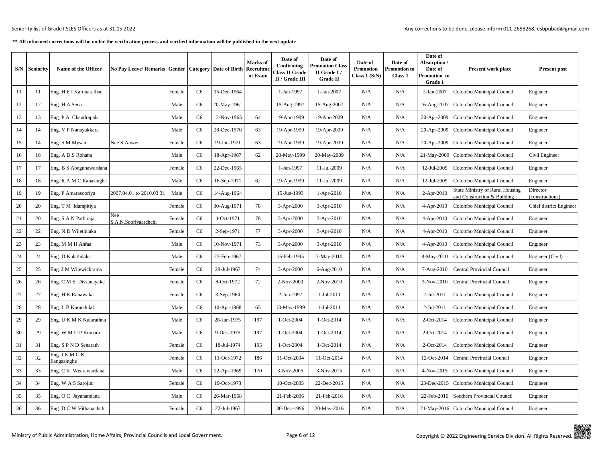|        | <b>S/N</b> Seniority | Name of the Officer            | No Pay Leave/ Remarks Gender   Category   Date of Birth |        |                |             | Marks of<br>Recruitme<br>nt Exam | Date of<br>Confirming<br>Class II Grade<br>II / Grade III | Date of<br>Promotion Class<br>II Grade I/<br><b>Grade II</b> | Date of<br><b>Promotion</b><br>Class $1(S/N)$ | Date of<br>romotion to<br>Class 1 | Date of<br>Absorption /<br>Date of<br>Promotion to<br>Grade 1 | <b>Present work place</b>                                             | <b>Present post</b>        |
|--------|----------------------|--------------------------------|---------------------------------------------------------|--------|----------------|-------------|----------------------------------|-----------------------------------------------------------|--------------------------------------------------------------|-----------------------------------------------|-----------------------------------|---------------------------------------------------------------|-----------------------------------------------------------------------|----------------------------|
| 11     | 11                   | Eng. H E I Karunarathne        |                                                         | Female | C <sub>6</sub> | 15-Dec-1964 |                                  | 1-Jan-1997                                                | 1-Jan-2007                                                   | N/A                                           | N/A                               | 2-Jan-2007                                                    | Colombo Municipal Council                                             | Engineer                   |
| 12     | 12                   | Eng. H A Sena                  |                                                         | Male   | C <sub>6</sub> | 20-May-1961 |                                  | 15-Aug-1997                                               | 15-Aug-2007                                                  | N/A                                           | N/A                               | 16-Aug-2007                                                   | Colombo Municipal Council                                             | Engineer                   |
| 13     | 13                   | Eng. P A Chandrapala           |                                                         | Male   | C <sub>6</sub> | 12-Nov-1965 | 64                               | 19-Apr-1999                                               | 19-Apr-2009                                                  | N/A                                           | N/A                               | 20-Apr-2009                                                   | Colombo Municipal Council                                             | Engineer                   |
| 14     | 14                   | Eng. V P Nanayakkara           |                                                         | Male   | C6             | 28-Dec-1970 | 63                               | 19-Apr-1999                                               | 19-Apr-2009                                                  | N/A                                           | N/A                               | 20-Apr-2009                                                   | Colombo Municipal Council                                             | Engineer                   |
| 15     | 14                   | Eng. S M Mysan                 | Nee S.Anwer                                             | Female | C <sub>6</sub> | 19-Jan-1971 | 63                               | 19-Apr-1999                                               | 19-Apr-2009                                                  | N/A                                           | N/A                               | 20-Apr-2009                                                   | Colombo Municipal Council                                             | Engineer                   |
| 16     | 16                   | Eng. A D S Rohana              |                                                         | Male   | C <sub>6</sub> | 18-Apr-1967 | 62                               | 20-May-1999                                               | 20-May-2009                                                  | N/A                                           | N/A                               | 21-May-2009                                                   | Colombo Municipal Council                                             | Civil Engineer             |
| 17     | 17                   | Eng. B S Abegunawardana        |                                                         | Female | C <sub>6</sub> | 22-Dec-1965 |                                  | 1-Jan-1997                                                | 11-Jul-2009                                                  | N/A                                           | N/A                               | 12-Jul-2009                                                   | Colombo Municipal Council                                             | Engineer                   |
| 18     | 18                   | Eng. R A M C Ranasinghe        |                                                         | Male   | C <sub>6</sub> | 16-Sep-1971 | 62                               | 19-Apr-1999                                               | 11-Jul-2009                                                  | N/A                                           | N/A                               | 12-Jul-2009                                                   | Colombo Municipal Council                                             | Engineer                   |
| 19     | 19                   | Eng. P Amarasooriya            | 2007.04.01 to 2010.03.3                                 | Male   | C <sub>6</sub> | 14-Aug-1964 |                                  | 15-Jun-1993                                               | $1-Apr-2010$                                                 | N/A                                           | N/A                               | 2-Apr-2010                                                    | <b>State Ministry of Rural Housing</b><br>and Construction & Building | Director<br>constructions) |
| $20\,$ | 20                   | Eng. T M Idampitiya            |                                                         | Female | C <sub>6</sub> | 30-Aug-1971 | 78                               | 3-Apr-2000                                                | 3-Apr-2010                                                   | N/A                                           | N/A                               | 4-Apr-2010                                                    | Colombo Municipal Council                                             | Chief district Engineer    |
| 21     | 20                   | Eng. S A N Pathiraja           | Nee<br>S.A.N.Sooriyaarchchi                             | Female | C <sub>6</sub> | 4-Oct-1971  | 78                               | 3-Apr-2000                                                | 3-Apr-2010                                                   | N/A                                           | N/A                               | 4-Apr-2010                                                    | Colombo Municipal Council                                             | Engineer                   |
| $22\,$ | 22                   | Eng. N D Wijethilaka           |                                                         | Female | C <sub>6</sub> | 2-Sep-1971  | 77                               | 3-Apr-2000                                                | 3-Apr-2010                                                   | N/A                                           | N/A                               | $4 - Apr - 2010$                                              | Colombo Municipal Council                                             | Engineer                   |
| 23     | 23                   | Eng. M M H Anfas               |                                                         | Male   | C <sub>6</sub> | 10-Nov-1971 | 73                               | 3-Apr-2000                                                | 3-Apr-2010                                                   | N/A                                           | N/A                               | 4-Apr-2010                                                    | Colombo Municipal Council                                             | Engineer                   |
| 24     | 24                   | Eng. D Kulathilaka             |                                                         | Male   | C <sub>6</sub> | 23-Feb-1967 |                                  | 15-Feb-1995                                               | 7-May-2010                                                   | N/A                                           | N/A                               | 8-May-2010                                                    | Colombo Municipal Council                                             | Engineer (Civil)           |
| $25\,$ | 25                   | Eng. J M Wijewickrama          |                                                         | Female | C <sub>6</sub> | 29-Jul-1967 | 74                               | 3-Apr-2000                                                | 6-Aug-2010                                                   | N/A                                           | N/A                               | 7-Aug-2010                                                    | Central Provincial Council                                            | Engineer                   |
| 26     | 26                   | Eng. C M S Dissanayake         |                                                         | Female | C <sub>6</sub> | 8-Oct-1972  | 72                               | 2-Nov-2000                                                | 2-Nov-2010                                                   | N/A                                           | N/A                               | 3-Nov-2010                                                    | <b>Central Provincial Council</b>                                     | Engineer                   |
| $27\,$ | 27                   | Eng. H K Ranawaka              |                                                         | Female | C <sub>6</sub> | 3-Sep-1964  |                                  | 2-Jun-1997                                                | 1-Jul-2011                                                   | N/A                                           | N/A                               | 2-Jul-2011                                                    | Colombo Municipal Council                                             | Engineer                   |
| 28     | 28                   | Eng. L B Kumudulal             |                                                         | Male   | C <sub>6</sub> | 10-Apr-1968 | 65                               | 13-May-1999                                               | 1-Jul-2011                                                   | N/A                                           | N/A                               | 2-Jul-2011                                                    | Colombo Municipal Council                                             | Engineer                   |
| 29     | 29                   | Eng. U K M K Kularathna        |                                                         | Male   | C <sub>6</sub> | 28-Jan-1975 | 197                              | 1-Oct-2004                                                | 1-Oct-2014                                                   | N/A                                           | N/A                               | 2-Oct-2014                                                    | Colombo Municipal Council                                             | Engineer                   |
| 30     | 29                   | Eng. W M U P Kumara            |                                                         | Male   | C <sub>6</sub> | 9-Dec-1975  | 197                              | 1-Oct-2004                                                | 1-Oct-2014                                                   | N/A                                           | N/A                               | 2-Oct-2014                                                    | Colombo Municipal Council                                             | Engineer                   |
| 31     | 31                   | Eng. S P N D Senarath          |                                                         | Female | C <sub>6</sub> | 18-Jul-1974 | 195                              | 1-Oct-2004                                                | 1-Oct-2014                                                   | N/A                                           | N/A                               | 2-Oct-2014                                                    | Colombo Municipal Council                                             | Engineer                   |
| 32     | 32                   | Eng. I K M C K<br>Ilangasinghe |                                                         | Female | C <sub>6</sub> | 11-Oct-1972 | 186                              | 11-Oct-2004                                               | 11-Oct-2014                                                  | N/A                                           | N/A                               | 12-Oct-2014                                                   | <b>Central Provincial Council</b>                                     | Engineer                   |
| 33     | 33                   | Eng. C K Weerawardana          |                                                         | Male   | C <sub>6</sub> | 22-Apr-1969 | 170                              | 3-Nov-2005                                                | 3-Nov-2015                                                   | N/A                                           | N/A                               | 4-Nov-2015                                                    | Colombo Municipal Council                                             | Engineer                   |
| 34     | 34                   | Eng. W A S Sarojini            |                                                         | Female | C <sub>6</sub> | 19-Oct-1973 |                                  | 10-Oct-2005                                               | 22-Dec-2015                                                  | N/A                                           | N/A                               | 23-Dec-2015                                                   | Colombo Municipal Council                                             | Engineer                   |
| 35     | 35                   | Eng. O C Jayanandana           |                                                         | Male   | C <sub>6</sub> | 26-Mar-1968 |                                  | 21-Feb-2006                                               | 21-Feb-2016                                                  | N/A                                           | N/A                               | 22-Feb-2016                                                   | Southern Provincial Council                                           | Engineer                   |
| 36     | 36                   | Eng. D C W Vithanachchi        |                                                         | Female | C <sub>6</sub> | 22-Jul-1967 |                                  | 30-Dec-1996                                               | 20-May-2016                                                  | N/A                                           | N/A                               |                                                               | 21-May-2016 Colombo Municipal Council                                 | Engineer                   |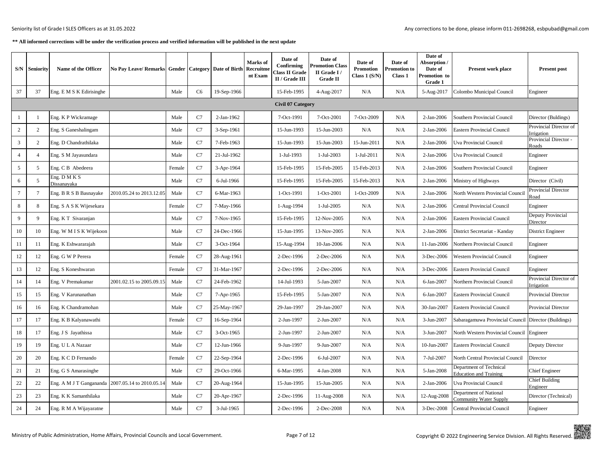|                | <b>S/N</b> Seniority | Name of the Officer         | <b>No Pay Leave/ Remarks</b> |        |                | <b>Gender   Category   Date of Birth</b> | Marks of<br>Recruitme<br>nt Exam | Date of<br>Confirming<br>Class II Grade<br>II / Grade III | Date of<br>Promotion Class<br>II Grade I/<br><b>Grade II</b> | Date of<br><b>Promotion</b><br>Class $1(S/N)$ | Date of<br>Promotion to<br>Class 1 | Date of<br>Absorption /<br>Date of<br>Promotion to<br>Grade 1 | <b>Present work place</b>                                | <b>Present post</b>                  |
|----------------|----------------------|-----------------------------|------------------------------|--------|----------------|------------------------------------------|----------------------------------|-----------------------------------------------------------|--------------------------------------------------------------|-----------------------------------------------|------------------------------------|---------------------------------------------------------------|----------------------------------------------------------|--------------------------------------|
| 37             | 37                   | Eng. E M S K Edirisinghe    |                              | Male   | C <sub>6</sub> | 19-Sep-1966                              |                                  | 15-Feb-1995                                               | 4-Aug-2017                                                   | N/A                                           | N/A                                | 5-Aug-2017                                                    | Colombo Municipal Council                                | Engineer                             |
|                |                      |                             |                              |        |                |                                          |                                  | <b>Civil 07 Category</b>                                  |                                                              |                                               |                                    |                                                               |                                                          |                                      |
|                | -1                   | Eng. K P Wickramage         |                              | Male   | C7             | 2-Jan-1962                               |                                  | 7-Oct-1991                                                | 7-Oct-2001                                                   | 7-Oct-2009                                    | N/A                                | 2-Jan-2006                                                    | Southern Provincial Council                              | Director (Buldings)                  |
| 2              | 2                    | Eng. S Ganeshalingam        |                              | Male   | C7             | 3-Sep-1961                               |                                  | 15-Jun-1993                                               | 15-Jun-2003                                                  | N/A                                           | N/A                                | 2-Jan-2006                                                    | <b>Eastern Provincial Council</b>                        | Provincial Director of<br>Irrigation |
| $\overline{3}$ | 2                    | Eng. D Chandrathilaka       |                              | Male   | C7             | 7-Feb-1963                               |                                  | 15-Jun-1993                                               | 15-Jun-2003                                                  | 15-Jun-2011                                   | N/A                                | 2-Jan-2006                                                    | Uva Provincial Council                                   | Provincial Director -<br>Roads       |
| $\overline{4}$ | $\overline{4}$       | Eng. S M Jayasundara        |                              | Male   | C7             | 21-Jul-1962                              |                                  | 1-Jul-1993                                                | 1-Jul-2003                                                   | 1-Jul-2011                                    | N/A                                | 2-Jan-2006                                                    | Uva Provincial Council                                   | Engineer                             |
| 5              | 5                    | Eng. C B Abedeera           |                              | Female | C7             | 3-Apr-1964                               |                                  | 15-Feb-1995                                               | 15-Feb-2005                                                  | 15-Feb-2013                                   | N/A                                | 2-Jan-2006                                                    | Southern Provincial Council                              | Engineer                             |
| 6              | 5                    | Eng. D M K S<br>Dissanayaka |                              | Male   | C7             | 6-Jul-1966                               |                                  | 15-Feb-1995                                               | 15-Feb-2005                                                  | 15-Feb-2013                                   | N/A                                | 2-Jan-2006                                                    | Ministry of Highways                                     | Director (Civil)                     |
| $\overline{7}$ | $7\phantom{.0}$      | Eng. B R S B Basnayake      | 2010.05.24 to 2013.12.05     | Male   | C7             | 6-Mar-1963                               |                                  | 1-Oct-1991                                                | 1-Oct-2001                                                   | 1-Oct-2009                                    | N/A                                | 2-Jan-2006                                                    | North Western Provincial Counci                          | Provincial Director<br>Road          |
| 8              | 8                    | Eng. S A S K Wijesekara     |                              | Female | C7             | 7-May-1966                               |                                  | 1-Aug-1994                                                | 1-Jul-2005                                                   | N/A                                           | N/A                                | 2-Jan-2006                                                    | <b>Central Provincial Council</b>                        | Engineer                             |
| 9              | 9                    | Eng. K T Sivaranjan         |                              | Male   | C7             | 7-Nov-1965                               |                                  | 15-Feb-1995                                               | 12-Nov-2005                                                  | N/A                                           | N/A                                | 2-Jan-2006                                                    | Eastern Provincial Council                               | Deputy Provincial<br>Director        |
| 10             | 10                   | Eng. W M I S K Wijekoon     |                              | Male   | C7             | 24-Dec-1966                              |                                  | 15-Jun-1995                                               | 13-Nov-2005                                                  | N/A                                           | N/A                                | 2-Jan-2006                                                    | District Secretariat - Kanday                            | District Engineer                    |
| 11             | 11                   | Eng. K Eshwararajah         |                              | Male   | C7             | 3-Oct-1964                               |                                  | 15-Aug-1994                                               | 10-Jan-2006                                                  | N/A                                           | N/A                                | 11-Jan-2006                                                   | Northern Provincial Council                              | Engineer                             |
| 12             | 12                   | Eng. G W P Perera           |                              | Female | C7             | 28-Aug-1961                              |                                  | 2-Dec-1996                                                | 2-Dec-2006                                                   | N/A                                           | N/A                                | 3-Dec-2006                                                    | <b>Western Provincial Council</b>                        | Engineer                             |
| 13             | 12                   | Eng. S Koneshwaran          |                              | Female | C7             | 31-Mar-1967                              |                                  | 2-Dec-1996                                                | 2-Dec-2006                                                   | N/A                                           | N/A                                | 3-Dec-2006                                                    | <b>Eastern Provincial Council</b>                        | Engineer                             |
| 14             | 14                   | Eng. V Premakumar           | 2001.02.15 to 2005.09.15     | Male   | C7             | 24-Feb-1962                              |                                  | 14-Jul-1993                                               | 5-Jan-2007                                                   | N/A                                           | N/A                                | 6-Jan-2007                                                    | Northern Provincial Council                              | Provincial Director of<br>Irrigation |
| 15             | 15                   | Eng. V Karunanathan         |                              | Male   | C7             | 7-Apr-1965                               |                                  | 15-Feb-1995                                               | 5-Jan-2007                                                   | N/A                                           | N/A                                | 6-Jan-2007                                                    | <b>Eastern Provincial Council</b>                        | Provincial Director                  |
| 16             | 16                   | Eng. K Chandramohan         |                              | Male   | C7             | 25-May-1967                              |                                  | 29-Jan-1997                                               | 29-Jan-2007                                                  | N/A                                           | N/A                                | 30-Jan-2007                                                   | <b>Eastern Provincial Council</b>                        | Provincial Director                  |
| 17             | 17                   | Eng. K B Kalyanawathi       |                              | Female | C7             | 16-Sep-1964                              |                                  | 2-Jun-1997                                                | 2-Jun-2007                                                   | N/A                                           | N/A                                | 3-Jun-2007                                                    | Sabaragamuwa Provincial Council Director (Buildings)     |                                      |
| 18             | 17                   | Eng. J S Jayathissa         |                              | Male   | C7             | 3-Oct-1965                               |                                  | 2-Jun-1997                                                | 2-Jun-2007                                                   | N/A                                           | N/A                                | 3-Jun-2007                                                    | North Western Provincial Council Engineer                |                                      |
| 19             | 19                   | Eng. U L A Nazaar           |                              | Male   | C7             | 12-Jun-1966                              |                                  | 9-Jun-1997                                                | 9-Jun-2007                                                   | N/A                                           | N/A                                | 10-Jun-2007                                                   | <b>Eastern Provincial Council</b>                        | Deputy Director                      |
| 20             | 20                   | Eng. K C D Fernando         |                              | Female | C7             | 22-Sep-1964                              |                                  | 2-Dec-1996                                                | 6-Jul-2007                                                   | N/A                                           | N/A                                | 7-Jul-2007                                                    | North Central Provincial Council                         | Director                             |
| 21             | 21                   | Eng. G S Amarasinghe        |                              | Male   | C7             | 29-Oct-1966                              |                                  | 6-Mar-1995                                                | 4-Jan-2008                                                   | N/A                                           | N/A                                | 5-Jan-2008                                                    | Department of Technical<br><b>Education and Training</b> | <b>Chief Engineer</b>                |
| 22             | 22                   | Eng. A M J T Gangananda     | 2007.05.14 to 2010.05.14     | Male   | C7             | 20-Aug-1964                              |                                  | 15-Jun-1995                                               | 15-Jun-2005                                                  | N/A                                           | N/A                                | 2-Jan-2006                                                    | <b>Uva Provincial Council</b>                            | <b>Chief Building</b><br>Engineer    |
| 23             | 23                   | Eng. K K Samanthilaka       |                              | Male   | C7             | 20-Apr-1967                              |                                  | 2-Dec-1996                                                | 11-Aug-2008                                                  | N/A                                           | N/A                                | 12-Aug-2008                                                   | Department of National<br>Community Water Supply         | Director (Technical)                 |
| 24             | 24                   | Eng. R M A Wijayaratne      |                              | Male   | C7             | 3-Jul-1965                               |                                  | 2-Dec-1996                                                | 2-Dec-2008                                                   | N/A                                           | N/A                                | 3-Dec-2008                                                    | <b>Central Provincial Council</b>                        | Engineer                             |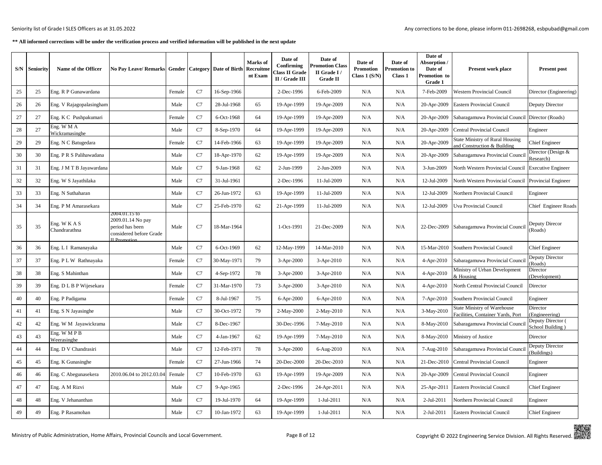|        | <b>S/N</b> Seniority | Name of the Officer                       | No Pay Leave/ Remarks Gender   Category   Date of Birth                                                 |        |    |             | Marks of<br>Recruitme<br>nt Exam | Date of<br>Confirming<br>Class II Grade<br>II / Grade III | Date of<br><b>Promotion Class</b><br>II Grade I/<br><b>Grade II</b> | Date of<br><b>Promotion</b><br>Class $1(S/N)$ | Date of<br>Promotion to<br>Class 1 | Date of<br>Absorption /<br>Date of<br>Promotion to<br>Grade 1 | <b>Present work place</b>                                        | <b>Present post</b>                   |
|--------|----------------------|-------------------------------------------|---------------------------------------------------------------------------------------------------------|--------|----|-------------|----------------------------------|-----------------------------------------------------------|---------------------------------------------------------------------|-----------------------------------------------|------------------------------------|---------------------------------------------------------------|------------------------------------------------------------------|---------------------------------------|
| 25     | 25                   | Eng. R P Gunawardana                      |                                                                                                         | Female | C7 | 16-Sep-1966 |                                  | 2-Dec-1996                                                | 6-Feb-2009                                                          | N/A                                           | N/A                                | 7-Feb-2009                                                    | Western Provincial Council                                       | Director (Engineering)                |
| 26     | 26                   | Eng. V Rajagopalasingham                  |                                                                                                         | Male   | C7 | 28-Jul-1968 | 65                               | 19-Apr-1999                                               | 19-Apr-2009                                                         | N/A                                           | N/A                                | 20-Apr-2009                                                   | <b>Eastern Provincial Council</b>                                | Deputy Director                       |
| $27\,$ | 27                   | Eng. K C Pushpakumari                     |                                                                                                         | Female | C7 | 6-Oct-1968  | 64                               | 19-Apr-1999                                               | 19-Apr-2009                                                         | N/A                                           | N/A                                | 20-Apr-2009                                                   | Sabaragamuwa Provincial Council                                  | Director (Roads)                      |
| $28\,$ | 27                   | Eng. W M $\overline{A}$<br>Wickramasinghe |                                                                                                         | Male   | C7 | 8-Sep-1970  | 64                               | 19-Apr-1999                                               | 19-Apr-2009                                                         | N/A                                           | N/A                                | 20-Apr-2009                                                   | <b>Central Provincial Council</b>                                | Engineer                              |
| 29     | 29                   | Eng. N C Batugedara                       |                                                                                                         | Female | C7 | 14-Feb-1966 | 63                               | 19-Apr-1999                                               | 19-Apr-2009                                                         | N/A                                           | N/A                                | 20-Apr-2009                                                   | State Ministry of Rural Housing<br>and Construction & Building   | <b>Chief Engineer</b>                 |
| 30     | 30                   | Eng. P R S Palihawadana                   |                                                                                                         | Male   | C7 | 18-Apr-1970 | 62                               | 19-Apr-1999                                               | 19-Apr-2009                                                         | N/A                                           | N/A                                | 20-Apr-2009                                                   | Sabaragamuwa Provincial Council                                  | Director (Design &<br>Research)       |
| 31     | 31                   | Eng. J M T B Jayawardana                  |                                                                                                         | Male   | C7 | 9-Jan-1968  | 62                               | 2-Jun-1999                                                | 2-Jun-2009                                                          | N/A                                           | N/A                                | 3-Jun-2009                                                    | North Western Provincial Council                                 | <b>Executive Engineer</b>             |
| 32     | 32                   | Eng. W S Jayathilaka                      |                                                                                                         | Male   | C7 | 31-Jul-1961 |                                  | 2-Dec-1996                                                | 11-Jul-2009                                                         | N/A                                           | N/A                                | 12-Jul-2009                                                   | North Western Provincial Council                                 | <b>Provincial Engineer</b>            |
| 33     | 33                   | Eng. N Suthaharan                         |                                                                                                         | Male   | C7 | 26-Jun-1972 | 63                               | 19-Apr-1999                                               | 11-Jul-2009                                                         | N/A                                           | N/A                                | 12-Jul-2009                                                   | Northern Provincial Council                                      | Engineer                              |
| 34     | 34                   | Eng. P M Amarasekara                      |                                                                                                         | Male   | C7 | 25-Feb-1970 | 62                               | 21-Apr-1999                                               | 11-Jul-2009                                                         | N/A                                           | N/A                                | 12-Jul-2009                                                   | <b>Uva Provincial Council</b>                                    | Chief Engineer Roads                  |
| 35     | 35                   | Eng. W K A S<br>Chandrarathna             | 2004.01.15 to<br>2009.01.14 No pay<br>period has been<br>considered before Grade<br><b>II</b> Promotion | Male   | C7 | 18-Mar-1964 |                                  | 1-Oct-1991                                                | 21-Dec-2009                                                         | N/A                                           | N/A                                | 22-Dec-2009                                                   | Sabaragamuwa Provincial Council                                  | Deputy Direcor<br>(Roads)             |
| 36     | 36                   | Eng. L I Ramanayaka                       |                                                                                                         | Male   | C7 | 6-Oct-1969  | 62                               | 12-May-1999                                               | 14-Mar-2010                                                         | N/A                                           | N/A                                | 15-Mar-2010                                                   | Southern Provincial Council                                      | <b>Chief Engineer</b>                 |
| 37     | 37                   | Eng. P L W Rathnayaka                     |                                                                                                         | Female | C7 | 30-May-1971 | 79                               | 3-Apr-2000                                                | $3-Apr-2010$                                                        | N/A                                           | N/A                                | 4-Apr-2010                                                    | Sabaragamuwa Provincial Counc                                    | Deputy Director<br>Roads)             |
| 38     | 38                   | Eng. S Mahinthan                          |                                                                                                         | Male   | C7 | 4-Sep-1972  | 78                               | 3-Apr-2000                                                | 3-Apr-2010                                                          | N/A                                           | N/A                                | 4-Apr-2010                                                    | Ministry of Urban Development<br>k Housing                       | Director<br>(Development)             |
| 39     | 39                   | Eng. D L B P Wijesekara                   |                                                                                                         | Female | C7 | 31-Mar-1970 | 73                               | 3-Apr-2000                                                | $3-Apr-2010$                                                        | N/A                                           | N/A                                | 4-Apr-2010                                                    | North Central Provincial Council                                 | Director                              |
| 40     | 40                   | Eng. P Padigama                           |                                                                                                         | Female | C7 | 8-Jul-1967  | 75                               | 6-Apr-2000                                                | 6-Apr-2010                                                          | N/A                                           | N/A                                | 7-Apr-2010                                                    | Southern Provincial Council                                      | Engineer                              |
| 41     | 41                   | Eng. S N Jayasinghe                       |                                                                                                         | Male   | C7 | 30-Oct-1972 | 79                               | 2-May-2000                                                | 2-May-2010                                                          | N/A                                           | N/A                                | 3-May-2010                                                    | State Ministry of Warehouse<br>Facilities, Container Yards, Port | Director<br>Engineeering)             |
| 42     | 42                   | Eng. W M Jayawickrama                     |                                                                                                         | Male   | C7 | 8-Dec-1967  |                                  | 30-Dec-1996                                               | 7-May-2010                                                          | N/A                                           | N/A                                | 8-May-2010                                                    | Sabaragamuwa Provincial Counci                                   | Deputy Director (<br>School Building) |
| 43     | 43                   | Eng. W M P B<br>Weerasinghe               |                                                                                                         | Male   | C7 | 4-Jan-1967  | 62                               | 19-Apr-1999                                               | 7-May-2010                                                          | N/A                                           | N/A                                | 8-May-2010                                                    | Ministry of Justice                                              | Director                              |
| 44     | 44                   | Eng. D V Chandrasiri                      |                                                                                                         | Male   | C7 | 12-Feb-1971 | 78                               | 3-Apr-2000                                                | 6-Aug-2010                                                          | N/A                                           | N/A                                | 7-Aug-2010                                                    | Sabaragamuwa Provincial Counci                                   | Deputy Director<br>(Buildings)        |
| 45     | 45                   | Eng. K Gunasinghe                         |                                                                                                         | Female | C7 | 27-Jun-1966 | 74                               | 20-Dec-2000                                               | 20-Dec-2010                                                         | N/A                                           | N/A                                | 21-Dec-2010                                                   | <b>Central Provincial Council</b>                                | Engineer                              |
| 46     | 46                   | Eng. C Abegunasekera                      | 2010.06.04 to 2012.03.04                                                                                | Female | C7 | 10-Feb-1970 | 63                               | 19-Apr-1999                                               | 19-Apr-2009                                                         | N/A                                           | N/A                                | 20-Apr-2009                                                   | Central Provincial Council                                       | Engineer                              |
| 47     | 47                   | Eng. A M Rizvi                            |                                                                                                         | Male   | C7 | 9-Apr-1965  |                                  | 2-Dec-1996                                                | 24-Apr-2011                                                         | N/A                                           | N/A                                | 25-Apr-2011                                                   | <b>Eastern Provincial Council</b>                                | <b>Chief Engineer</b>                 |
| 48     | 48                   | Eng. V Jehananthan                        |                                                                                                         | Male   | C7 | 19-Jul-1970 | 64                               | 19-Apr-1999                                               | 1-Jul-2011                                                          | N/A                                           | N/A                                | 2-Jul-2011                                                    | Northern Provincial Council                                      | Engineer                              |
| 49     | 49                   | Eng. P Rasamohan                          |                                                                                                         | Male   | C7 | 10-Jan-1972 | 63                               | 19-Apr-1999                                               | 1-Jul-2011                                                          | N/A                                           | N/A                                | 2-Jul-2011                                                    | <b>Eastern Provincial Council</b>                                | <b>Chief Engineer</b>                 |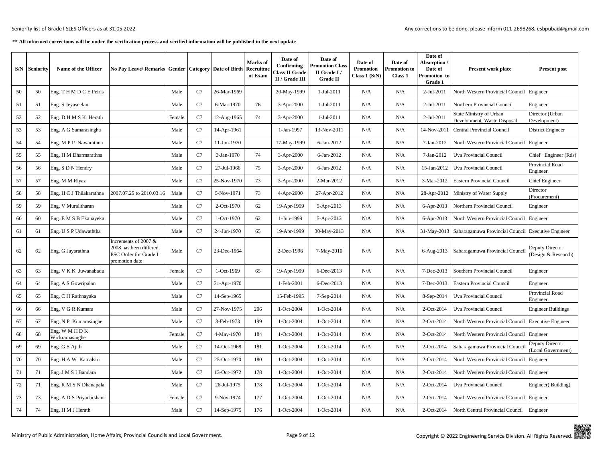|    | <b>S/N</b> Seniority | Name of the Officer              | No Pay Leave/ Remarks Gender   Category   Date of Birth                                    |        |    |             | Marks of<br>Recruitme<br>nt Exam | Date of<br>Confirming<br><b>Class II Grade</b><br>II / Grade III | Date of<br>Promotion Class<br>II Grade I/<br><b>Grade II</b> | Date of<br><b>Promotion</b><br>Class $1(S/N)$ | Date of<br>Promotion to<br>Class 1 | Date of<br>Absorption /<br>Date of<br>Promotion to<br>Grade 1 | <b>Present work place</b>                                      | <b>Present post</b>                   |
|----|----------------------|----------------------------------|--------------------------------------------------------------------------------------------|--------|----|-------------|----------------------------------|------------------------------------------------------------------|--------------------------------------------------------------|-----------------------------------------------|------------------------------------|---------------------------------------------------------------|----------------------------------------------------------------|---------------------------------------|
| 50 | 50                   | Eng. THMDCE Peiris               |                                                                                            | Male   | C7 | 26-Mar-1969 |                                  | 20-May-1999                                                      | 1-Jul-2011                                                   | N/A                                           | N/A                                | 2-Jul-2011                                                    | North Western Provincial Council Engineer                      |                                       |
| 51 | 51                   | Eng. S Jeyaseelan                |                                                                                            | Male   | C7 | 6-Mar-1970  | 76                               | 3-Apr-2000                                                       | 1-Jul-2011                                                   | N/A                                           | N/A                                | 2-Jul-2011                                                    | Northern Provincial Council                                    | Engineer                              |
| 52 | 52                   | Eng. D H M S K Herath            |                                                                                            | Female | C7 | 12-Aug-1965 | 74                               | 3-Apr-2000                                                       | 1-Jul-2011                                                   | N/A                                           | N/A                                | 2-Jul-2011                                                    | State Ministry of Urban<br>Development, Waste Disposal         | Director (Urban<br>Development)       |
| 53 | 53                   | Eng. A G Samarasingha            |                                                                                            | Male   | C7 | 14-Apr-1961 |                                  | 1-Jan-1997                                                       | 13-Nov-2011                                                  | N/A                                           | N/A                                | 14-Nov-2011                                                   | <b>Central Provincial Council</b>                              | <b>District Engineer</b>              |
| 54 | 54                   | Eng. M P P Nawarathna            |                                                                                            | Male   | C7 | 11-Jun-1970 |                                  | 17-May-1999                                                      | 6-Jan-2012                                                   | N/A                                           | N/A                                | 7-Jan-2012                                                    | North Western Provincial Council Engineer                      |                                       |
| 55 | 55                   | Eng. H M Dharmarathna            |                                                                                            | Male   | C7 | 3-Jan-1970  | 74                               | 3-Apr-2000                                                       | 6-Jan-2012                                                   | N/A                                           | N/A                                | 7-Jan-2012                                                    | Uva Provincial Council                                         | Chief Engineer (Rds)                  |
| 56 | 56                   | Eng. S D N Hendry                |                                                                                            | Male   | C7 | 27-Jul-1966 | 75                               | 3-Apr-2000                                                       | 6-Jan-2012                                                   | N/A                                           | N/A                                | 15-Jan-2012                                                   | Uva Provincial Council                                         | Provincial Road<br>Engineer           |
| 57 | 57                   | Eng. M M Riyaz                   |                                                                                            | Male   | C7 | 25-Nov-1970 | 73                               | 3-Apr-2000                                                       | 2-Mar-2012                                                   | N/A                                           | N/A                                | 3-Mar-2012                                                    | Eastern Provincial Council                                     | Chief Engineer                        |
| 58 | 58                   | Eng. H C J Thilakarathna         | 2007.07.25 to 2010.03.16                                                                   | Male   | C7 | 5-Nov-1971  | 73                               | 4-Apr-2000                                                       | 27-Apr-2012                                                  | N/A                                           | N/A                                | 28-Apr-2012                                                   | Ministry of Water Supply                                       | Director<br>Procurement)              |
| 59 | 59                   | Eng. V Muralitharan              |                                                                                            | Male   | C7 | 2-Oct-1970  | 62                               | 19-Apr-1999                                                      | 5-Apr-2013                                                   | N/A                                           | N/A                                | 6-Apr-2013                                                    | Northern Provincial Council                                    | Engineer                              |
| 60 | 60                   | Eng. E M S B Ekanayeka           |                                                                                            | Male   | C7 | 1-Oct-1970  | 62                               | 1-Jun-1999                                                       | 5-Apr-2013                                                   | N/A                                           | N/A                                | 6-Apr-2013                                                    | North Western Provincial Council Engineer                      |                                       |
| 61 | 61                   | Eng. U S P Udawaththa            |                                                                                            | Male   | C7 | 24-Jun-1970 | 65                               | 19-Apr-1999                                                      | 30-May-2013                                                  | N/A                                           | N/A                                |                                                               | 31-May-2013 Sabaragamuwa Provincial Council Executive Engineer |                                       |
| 62 | 62                   | Eng. G Jayarathna                | Increments of 2007 &<br>2008 has been differed.<br>PSC Order for Grade I<br>promotion date | Male   | C7 | 23-Dec-1964 |                                  | 2-Dec-1996                                                       | 7-May-2010                                                   | N/A                                           | N/A                                | 6-Aug-2013                                                    | Sabaragamuwa Provincial Council                                | Deputy Director<br>Design & Research) |
| 63 | 63                   | Eng. V K K Juwanabadu            |                                                                                            | Female | C7 | 1-Oct-1969  | 65                               | 19-Apr-1999                                                      | 6-Dec-2013                                                   | N/A                                           | N/A                                | 7-Dec-2013                                                    | Southern Provincial Council                                    | Engineer                              |
| 64 | 64                   | Eng. A S Gowripalan              |                                                                                            | Male   | C7 | 21-Apr-1970 |                                  | 1-Feb-2001                                                       | 6-Dec-2013                                                   | N/A                                           | N/A                                | 7-Dec-2013                                                    | <b>Eastern Provincial Council</b>                              | Engineer                              |
| 65 | 65                   | Eng. C H Rathnayaka              |                                                                                            | Male   | C7 | 14-Sep-1965 |                                  | 15-Feb-1995                                                      | 7-Sep-2014                                                   | N/A                                           | N/A                                | 8-Sep-2014                                                    | Uva Provincial Council                                         | Provincial Road<br>Engineer           |
| 66 | 66                   | Eng. V G R Kumara                |                                                                                            | Male   | C7 | 27-Nov-1975 | 206                              | 1-Oct-2004                                                       | 1-Oct-2014                                                   | N/A                                           | N/A                                | 2-Oct-2014                                                    | Uva Provincial Council                                         | <b>Engineer Buildings</b>             |
| 67 | 67                   | Eng. N P Kumarasinghe            |                                                                                            | Male   | C7 | 3-Feb-1973  | 199                              | 1-Oct-2004                                                       | 1-Oct-2014                                                   | N/A                                           | N/A                                | 2-Oct-2014                                                    | North Western Provincial Council Executive Engineer            |                                       |
| 68 | 68                   | Eng. W M H D K<br>Wickramasinghe |                                                                                            | Female | C7 | 4-May-1970  | 184                              | 1-Oct-2004                                                       | 1-Oct-2014                                                   | N/A                                           | N/A                                | 2-Oct-2014                                                    | North Western Provincial Council Engineer                      |                                       |
| 69 | 69                   | Eng. G S Ajith                   |                                                                                            | Male   | C7 | 14-Oct-1968 | 181                              | 1-Oct-2004                                                       | $1-Oct-2014$                                                 | N/A                                           | N/A                                | 2-Oct-2014                                                    | Sabaragamuwa Provincial Counci                                 | Deputy Director<br>Local Government)  |
| 70 | 70                   | Eng. H A W Kamalsiri             |                                                                                            | Male   | C7 | 25-Oct-1970 | 180                              | 1-Oct-2004                                                       | 1-Oct-2014                                                   | N/A                                           | N/A                                | 2-Oct-2014                                                    | North Western Provincial Council Engineer                      |                                       |
| 71 | 71                   | Eng. J M S I Bandara             |                                                                                            | Male   | C7 | 13-Oct-1972 | 178                              | 1-Oct-2004                                                       | 1-Oct-2014                                                   | N/A                                           | N/A                                | 2-Oct-2014                                                    | North Western Provincial Council Engineer                      |                                       |
| 72 | 71                   | Eng. R M S N Dhanapala           |                                                                                            | Male   | C7 | 26-Jul-1975 | 178                              | 1-Oct-2004                                                       | 1-Oct-2014                                                   | N/A                                           | N/A                                | 2-Oct-2014                                                    | Uva Provincial Council                                         | Engineer(Building)                    |
| 73 | 73                   | Eng. A D S Priyadarshani         |                                                                                            | Female | C7 | 9-Nov-1974  | 177                              | 1-Oct-2004                                                       | 1-Oct-2014                                                   | N/A                                           | N/A                                | 2-Oct-2014                                                    | North Western Provincial Council Engineer                      |                                       |
| 74 | 74                   | Eng. H M J Herath                |                                                                                            | Male   | C7 | 14-Sep-1975 | 176                              | 1-Oct-2004                                                       | 1-Oct-2014                                                   | N/A                                           | N/A                                | 2-Oct-2014                                                    | North Central Provincial Council                               | Engineer                              |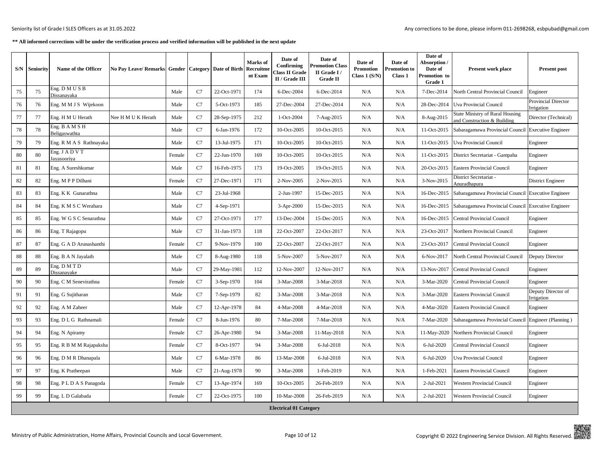|    | <b>S/N</b> Seniority | Name of the Officer             | <b>No Pay Leave/ Remarks</b> |        |    | <b>Gender   Category   Date of Birth</b> | Marks of<br>Recruitme<br>nt Exam | Date of<br>Confirming<br>Class II Grade<br>II / Grade III | Date of<br><b>Promotion Class</b><br>II Grade I/<br><b>Grade II</b> | Date of<br>Promotion<br>Class $1(S/N)$ | Date of<br>Promotion to<br><b>Class 1</b> | Date of<br>Absorption /<br>Date of<br>Promotion to<br>Grade 1 | <b>Present work place</b>                                             | <b>Present post</b>                      |
|----|----------------------|---------------------------------|------------------------------|--------|----|------------------------------------------|----------------------------------|-----------------------------------------------------------|---------------------------------------------------------------------|----------------------------------------|-------------------------------------------|---------------------------------------------------------------|-----------------------------------------------------------------------|------------------------------------------|
| 75 | 75                   | Eng. D M U S B<br>Dissanayaka   |                              | Male   | C7 | 22-Oct-1971                              | 174                              | 6-Dec-2004                                                | 6-Dec-2014                                                          | N/A                                    | N/A                                       | 7-Dec-2014                                                    | North Central Provincial Council                                      | Engineer                                 |
| 76 | 76                   | Eng. M M J S Wijekoon           |                              | Male   | C7 | 5-Oct-1973                               | 185                              | 27-Dec-2004                                               | 27-Dec-2014                                                         | N/A                                    | N/A                                       | 28-Dec-2014                                                   | Uva Provincial Council                                                | <b>Provincial Director</b><br>Irrigation |
| 77 | 77                   | Eng. H M U Herath               | Nee H M U K Herath           | Male   | C7 | 28-Sep-1975                              | 212                              | 1-Oct-2004                                                | 7-Aug-2015                                                          | N/A                                    | N/A                                       | 8-Aug-2015                                                    | <b>State Ministry of Rural Housing</b><br>and Construction & Building | Director (Technical)                     |
| 78 | 78                   | Eng. B A M S H<br>Beligaswathta |                              | Male   | C7 | 6-Jan-1976                               | 172                              | 10-Oct-2005                                               | 10-Oct-2015                                                         | N/A                                    | N/A                                       | 11-Oct-2015                                                   | Sabaragamuwa Provincial Council Executive Engineer                    |                                          |
| 79 | 79                   | Eng. R M A S Rathnayaka         |                              | Male   | C7 | 13-Jul-1975                              | 171                              | 10-Oct-2005                                               | 10-Oct-2015                                                         | N/A                                    | N/A                                       | 11-Oct-2015                                                   | <b>Uva Provincial Council</b>                                         | Engineer                                 |
| 80 | 80                   | Eng. J A D V T<br>Jayasooriya   |                              | Female | C7 | 22-Jun-1970                              | 169                              | 10-Oct-2005                                               | 10-Oct-2015                                                         | N/A                                    | N/A                                       | 11-Oct-2015                                                   | District Secretariat - Gampaha                                        | Engineer                                 |
| 81 | 81                   | Eng. A Sureshkumar              |                              | Male   | C7 | 16-Feb-1975                              | 173                              | 19-Oct-2005                                               | 19-Oct-2015                                                         | N/A                                    | N/A                                       | 20-Oct-2015                                                   | <b>Eastern Provincial Council</b>                                     | Engineer                                 |
| 82 | 82                   | Eng. M P P Dilhani              |                              | Female | C7 | 27-Dec-1971                              | 171                              | 2-Nov-2005                                                | 2-Nov-2015                                                          | N/A                                    | N/A                                       | 3-Nov-2015                                                    | District Secretariat -<br>Anuradhapura                                | District Engineer                        |
| 83 | 83                   | Eng. K K Gunarathna             |                              | Male   | C7 | 23-Jul-1968                              |                                  | 2-Jun-1997                                                | 15-Dec-2015                                                         | N/A                                    | N/A                                       | 16-Dec-2015                                                   | Sabaragamuwa Provincial Council Executive Engineer                    |                                          |
| 84 | 84                   | Eng. K M S C Werahara           |                              | Male   | C7 | 4-Sep-1971                               |                                  | 3-Apr-2000                                                | 15-Dec-2015                                                         | N/A                                    | N/A                                       | 16-Dec-2015                                                   | Sabaragamuwa Provincial Council Executive Engineer                    |                                          |
| 85 | 85                   | Eng. W G S C Senarathna         |                              | Male   | C7 | 27-Oct-1971                              | 177                              | 13-Dec-2004                                               | 15-Dec-2015                                                         | N/A                                    | N/A                                       | 16-Dec-2015                                                   | <b>Central Provincial Council</b>                                     | Engineer                                 |
| 86 | 86                   | Eng. T Rajagopu                 |                              | Male   | C7 | 31-Jan-1973                              | 118                              | 22-Oct-2007                                               | 22-Oct-2017                                                         | N/A                                    | N/A                                       | 23-Oct-2017                                                   | Northern Provincial Council                                           | Engineer                                 |
| 87 | 87                   | Eng. G A D Arunashanthi         |                              | Female | C7 | 9-Nov-1979                               | 100                              | 22-Oct-2007                                               | 22-Oct-2017                                                         | N/A                                    | N/A                                       | 23-Oct-2017                                                   | <b>Central Provincial Council</b>                                     | Engineer                                 |
| 88 | 88                   | Eng. B A N Jayalath             |                              | Male   | C7 | 8-Aug-1980                               | 118                              | 5-Nov-2007                                                | 5-Nov-2017                                                          | N/A                                    | N/A                                       | 6-Nov-2017                                                    | North Central Provincial Council                                      | Deputy Director                          |
| 89 | 89                   | Eng. D M T D<br>Dissanayake     |                              | Male   | C7 | 29-May-1981                              | 112                              | 12-Nov-2007                                               | 12-Nov-2017                                                         | N/A                                    | N/A                                       | 13-Nov-2017                                                   | Central Provincial Council                                            | Engineer                                 |
| 90 | 90                   | Eng. C M Senevirathna           |                              | Female | C7 | 3-Sep-1970                               | 104                              | 3-Mar-2008                                                | 3-Mar-2018                                                          | N/A                                    | N/A                                       | 3-Mar-2020                                                    | <b>Central Provincial Council</b>                                     | Engineer                                 |
| 91 | 91                   | Eng. G Sujitharan               |                              | Male   | C7 | 7-Sep-1979                               | 82                               | 3-Mar-2008                                                | 3-Mar-2018                                                          | N/A                                    | N/A                                       | 3-Mar-2020                                                    | <b>Eastern Provincial Council</b>                                     | Deputy Director of<br>Irrigation         |
| 92 | 92                   | Eng. A M Zaheer                 |                              | Male   | C7 | 12-Apr-1978                              | 84                               | 4-Mar-2008                                                | 4-Mar-2018                                                          | N/A                                    | N/A                                       | 4-Mar-2020                                                    | <b>Eastern Provincial Council</b>                                     | Engineer                                 |
| 93 | 93                   | Eng. D L G Rathnamali           |                              | Female | C7 | 8-Jun-1976                               | 80                               | 7-Mar-2008                                                | 7-Mar-2018                                                          | N/A                                    | N/A                                       | 7-Mar-2020                                                    | Sabaragamuwa Provincial Council Engineer (Planning)                   |                                          |
| 94 | 94                   | Eng. N Apiramy                  |                              | Female | C7 | 26-Apr-1980                              | 94                               | 3-Mar-2008                                                | 11-May-2018                                                         | N/A                                    | N/A                                       | 11-May-2020                                                   | Northern Provincial Council                                           | Engineer                                 |
| 95 | 95                   | Eng. R B M M Rajapaksha         |                              | Female | C7 | 8-Oct-1977                               | 94                               | 3-Mar-2008                                                | 6-Jul-2018                                                          | N/A                                    | N/A                                       | 6-Jul-2020                                                    | <b>Central Provincial Council</b>                                     | Engineer                                 |
| 96 | 96                   | Eng. D M R Dhanapala            |                              | Male   | C7 | 6-Mar-1978                               | 86                               | 13-Mar-2008                                               | 6-Jul-2018                                                          | N/A                                    | N/A                                       | 6-Jul-2020                                                    | Uva Provincial Council                                                | Engineer                                 |
| 97 | 97                   | Eng. K Pratheepan               |                              | Male   | C7 | 21-Aug-1978                              | 90                               | 3-Mar-2008                                                | 1-Feb-2019                                                          | N/A                                    | N/A                                       | 1-Feb-2021                                                    | Eastern Provincial Council                                            | Engineer                                 |
| 98 | 98                   | Eng. P L D A S Panagoda         |                              | Female | C7 | 13-Apr-1974                              | 169                              | 10-Oct-2005                                               | 26-Feb-2019                                                         | N/A                                    | N/A                                       | 2-Jul-2021                                                    | <b>Western Provincial Council</b>                                     | Engineer                                 |
| 99 | 99                   | Eng. L D Galabada               |                              | Female | C7 | 22-Oct-1975                              | 100                              | 10-Mar-2008                                               | 26-Feb-2019                                                         | N/A                                    | N/A                                       | 2-Jul-2021                                                    | <b>Western Provincial Council</b>                                     | Engineer                                 |
|    |                      |                                 |                              |        |    |                                          |                                  | <b>Electrical 01 Category</b>                             |                                                                     |                                        |                                           |                                                               |                                                                       |                                          |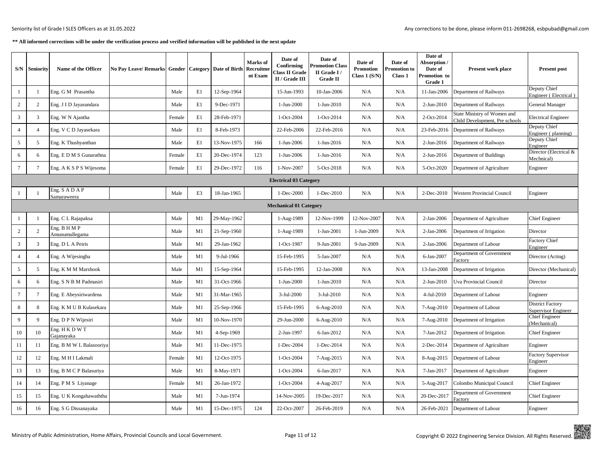| S/N            | <b>Seniority</b> | Name of the Officer            | No Pay Leave/ Remarks Gender   Category   Date of Birth |        |                |             | Marks of<br>Recruitme<br>nt Exam | Date of<br>Confirming<br>Class II Grade<br>II / Grade III | Date of<br>Promotion Class<br>II Grade I/<br><b>Grade II</b> | Date of<br><b>Promotion</b><br>Class $1(S/N)$ | Date of<br>romotion to<br>Class 1 | Date of<br>Absorption /<br>Date of<br>Promotion to<br>Grade 1 | <b>Present work place</b>                                     | <b>Present post</b>                                   |
|----------------|------------------|--------------------------------|---------------------------------------------------------|--------|----------------|-------------|----------------------------------|-----------------------------------------------------------|--------------------------------------------------------------|-----------------------------------------------|-----------------------------------|---------------------------------------------------------------|---------------------------------------------------------------|-------------------------------------------------------|
| -1             | $\mathbf{1}$     | Eng. G M Prasantha             |                                                         | Male   | E1             | 12-Sep-1964 |                                  | 15-Jun-1993                                               | 10-Jan-2006                                                  | N/A                                           | N/A                               | 11-Jan-2006                                                   | Department of Railways                                        | Deputy Chief<br>Engineer (Electrical)                 |
| $\overline{2}$ | $\overline{2}$   | Eng. J I D Jayasundara         |                                                         | Male   | E1             | 9-Dec-1971  |                                  | 1-Jun-2000                                                | $1-Jun-2010$                                                 | N/A                                           | N/A                               | 2-Jun-2010                                                    | Department of Railways                                        | General Manager                                       |
| 3              | 3                | Eng. W N Ajantha               |                                                         | Female | E1             | 28-Feb-1971 |                                  | 1-Oct-2004                                                | 1-Oct-2014                                                   | N/A                                           | N/A                               | 2-Oct-2014                                                    | State Ministry of Women and<br>Child Development, Pre schools | <b>Electrical Engineer</b>                            |
| $\overline{4}$ | $\overline{4}$   | Eng. V C D Jayasekara          |                                                         | Male   | E1             | 8-Feb-1973  |                                  | 22-Feb-2006                                               | 22-Feb-2016                                                  | N/A                                           | N/A                               | 23-Feb-2016                                                   | Department of Railways                                        | Deputy Chief<br>Engineer (planning)                   |
| 5              | 5                | Eng. K Thushyanthan            |                                                         | Male   | E1             | 13-Nov-1975 | 166                              | 1-Jun-2006                                                | 1-Jun-2016                                                   | N/A                                           | N/A                               | 2-Jun-2016                                                    | Department of Railways                                        | Deputy Chief<br>Engineer                              |
| 6              | 6                | Eng. E D M S Gunarathna        |                                                         | Female | E1             | 20-Dec-1974 | 123                              | 1-Jun-2006                                                | 1-Jun-2016                                                   | N/A                                           | N/A                               | 2-Jun-2016                                                    | Department of Buildings                                       | Director (Electrical &<br>Mechnical)                  |
| $\tau$         | $7\phantom{.0}$  | Eng. A K S P S Wijesoma        |                                                         | Female | E1             | 29-Dec-1972 | 116                              | 1-Nov-2007                                                | 5-Oct-2018                                                   | N/A                                           | N/A                               | 5-Oct-2020                                                    | Department of Agriculture                                     | Engineer                                              |
|                |                  |                                |                                                         |        |                |             |                                  | <b>Electrical 03 Category</b>                             |                                                              |                                               |                                   |                                                               |                                                               |                                                       |
|                | $\blacksquare$   | Eng. S A D A P<br>Samaraweera  |                                                         | Male   | E3             | 18-Jan-1965 |                                  | 1-Dec-2000                                                | 1-Dec-2010                                                   | N/A                                           | N/A                               | 2-Dec-2010                                                    | <b>Western Provincial Council</b>                             | Engineer                                              |
|                |                  |                                |                                                         |        |                |             |                                  | <b>Mechanical 01 Category</b>                             |                                                              |                                               |                                   |                                                               |                                                               |                                                       |
|                | $\blacksquare$   | Eng. C L Rajapaksa             |                                                         | Male   | M <sub>1</sub> | 29-May-1962 |                                  | 1-Aug-1989                                                | 12-Nov-1999                                                  | 12-Nov-2007                                   | N/A                               | 2-Jan-2006                                                    | Department of Agriculture                                     | <b>Chief Engineer</b>                                 |
| $\overline{c}$ | 2                | Eng. B H M P<br>Amunumullegama |                                                         | Male   | M <sub>1</sub> | 21-Sep-1960 |                                  | 1-Aug-1989                                                | 1-Jun-2001                                                   | 1-Jun-2009                                    | N/A                               | 2-Jan-2006                                                    | Department of Irrigation                                      | Director                                              |
| 3              | 3                | Eng. D L A Peiris              |                                                         | Male   | M <sub>1</sub> | 29-Jan-1962 |                                  | 1-Oct-1987                                                | 9-Jun-2001                                                   | 9-Jun-2009                                    | N/A                               | 2-Jan-2006                                                    | Department of Labour                                          | <b>Factory Chief</b><br>Engineer                      |
| $\overline{4}$ | $\overline{4}$   | Eng. A Wijesingha              |                                                         | Male   | M1             | 9-Jul-1966  |                                  | 15-Feb-1995                                               | 5-Jan-2007                                                   | N/A                                           | N/A                               | 6-Jan-2007                                                    | Department of Government<br>Factory                           | Director (Acting)                                     |
| 5              | 5                | Eng. K M M Marshook            |                                                         | Male   | M <sub>1</sub> | 15-Sep-1964 |                                  | 15-Feb-1995                                               | 12-Jan-2008                                                  | N/A                                           | N/A                               | 13-Jan-2008                                                   | Department of Irrigation                                      | Director (Mechanical)                                 |
| 6              | 6                | Eng. S N B M Padmasiri         |                                                         | Male   | M <sub>1</sub> | 31-Oct-1966 |                                  | 1-Jun-2000                                                | 1-Jun-2010                                                   | N/A                                           | N/A                               | 2-Jun-2010                                                    | <b>Uva Provincial Council</b>                                 | Director                                              |
| $\tau$         | $\overline{7}$   | Eng. E Abeysiriwardena         |                                                         | Male   | M1             | 31-Mar-1965 |                                  | 3-Jul-2000                                                | 3-Jul-2010                                                   | N/A                                           | N/A                               | 4-Jul-2010                                                    | Department of Labour                                          | Engineer                                              |
| 8              | 8                | Eng. K M U B Kulasekara        |                                                         | Male   | M <sub>1</sub> | 25-Sep-1966 |                                  | 15-Feb-1995                                               | 6-Aug-2010                                                   | N/A                                           | N/A                               | 7-Aug-2010                                                    | Department of Labour                                          | <b>District Factory</b><br><b>Supervisor Engineer</b> |
| 9              | 9                | Eng. D P N Wijesiri            |                                                         | Male   | M <sub>1</sub> | 10-Nov-1970 |                                  | 29-Jun-2000                                               | 6-Aug-2010                                                   | N/A                                           | N/A                               | 7-Aug-2010                                                    | Department of Irrigation                                      | <b>Chief Engineer</b><br>(Mechanical)                 |
| 10             | 10               | Eng. H K D W T<br>Gajanayaka   |                                                         | Male   | M1             | 4-Sep-1969  |                                  | 2-Jun-1997                                                | 6-Jan-2012                                                   | N/A                                           | N/A                               | 7-Jan-2012                                                    | Department of Irrigation                                      | <b>Chief Engineer</b>                                 |
| 11             | 11               | Eng. B M W L Balasooriya       |                                                         | Male   | M <sub>1</sub> | 11-Dec-1975 |                                  | 1-Dec-2004                                                | 1-Dec-2014                                                   | N/A                                           | N/A                               | 2-Dec-2014                                                    | Department of Agriculture                                     | Engineer                                              |
| 12             | 12               | Eng. M H I Lakmali             |                                                         | Female | M <sub>1</sub> | 12-Oct-1975 |                                  | 1-Oct-2004                                                | 7-Aug-2015                                                   | N/A                                           | N/A                               | 8-Aug-2015                                                    | Department of Labour                                          | <b>Factory Supervisor</b><br>Engineer                 |
| 13             | 13               | Eng. B M C P Balasuriya        |                                                         | Male   | M1             | 8-May-1971  |                                  | 1-Oct-2004                                                | 6-Jan-2017                                                   | N/A                                           | N/A                               | 7-Jan-2017                                                    | Department of Agriculture                                     | Engineer                                              |
| 14             | 14               | Eng. P M S Liyanage            |                                                         | Female | M <sub>1</sub> | 26-Jan-1972 |                                  | 1-Oct-2004                                                | 4-Aug-2017                                                   | N/A                                           | N/A                               | 5-Aug-2017                                                    | Colombo Municipal Council                                     | <b>Chief Engineer</b>                                 |
| 15             | 15               | Eng. U K Kongahawaththa        |                                                         | Male   | M <sub>1</sub> | 7-Jun-1974  |                                  | 14-Nov-2005                                               | 19-Dec-2017                                                  | N/A                                           | N/A                               | 20-Dec-2017                                                   | Department of Government<br>Factorv                           | <b>Chief Engineer</b>                                 |
| 16             | 16               | Eng. S G Dissanayaka           |                                                         | Male   | M1             | 15-Dec-1975 | 124                              | 22-Oct-2007                                               | 26-Feb-2019                                                  | N/A                                           | N/A                               | 26-Feb-2021                                                   | Department of Labour                                          | Engineer                                              |